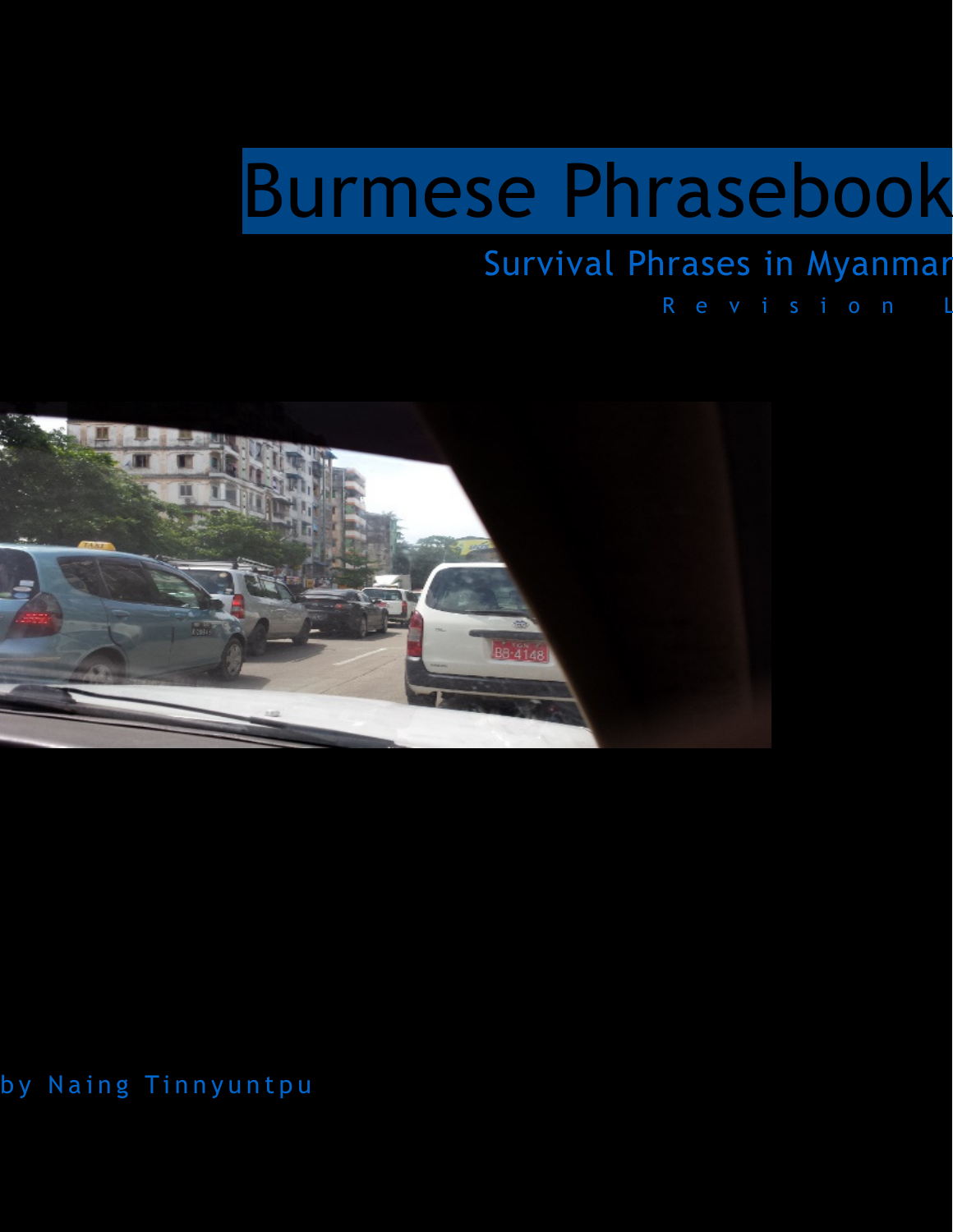# Burmese Phrasebook

#### Survival Phrases in Myanmar

R e v i s i o n L



by Naing Tinnyuntpu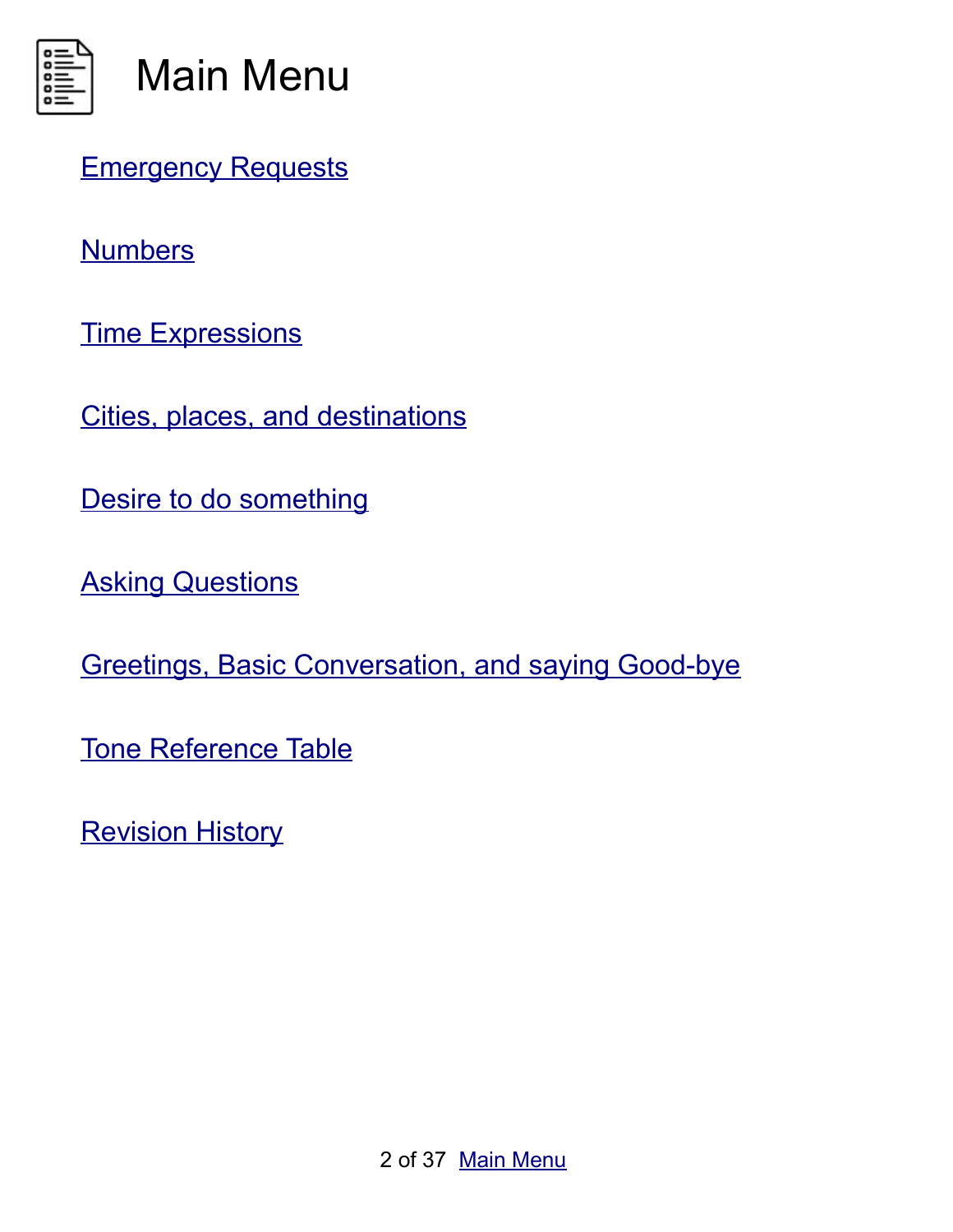<span id="page-1-0"></span>

[Emergency Requests](#page-3-0)

**[Numbers](#page-12-0)** 

[Time Expressions](#page-16-0)

[Cities, places, and destinations](#page-18-0)

[Desire to do something](#page-22-0)

**[Asking Questions](#page-24-0)** 

[Greetings, Basic Conversation, and saying Good-bye](#page-28-0)

[Tone Reference Table](#page-32-0)

<span id="page-1-1"></span>[Revision History](#page-1-1)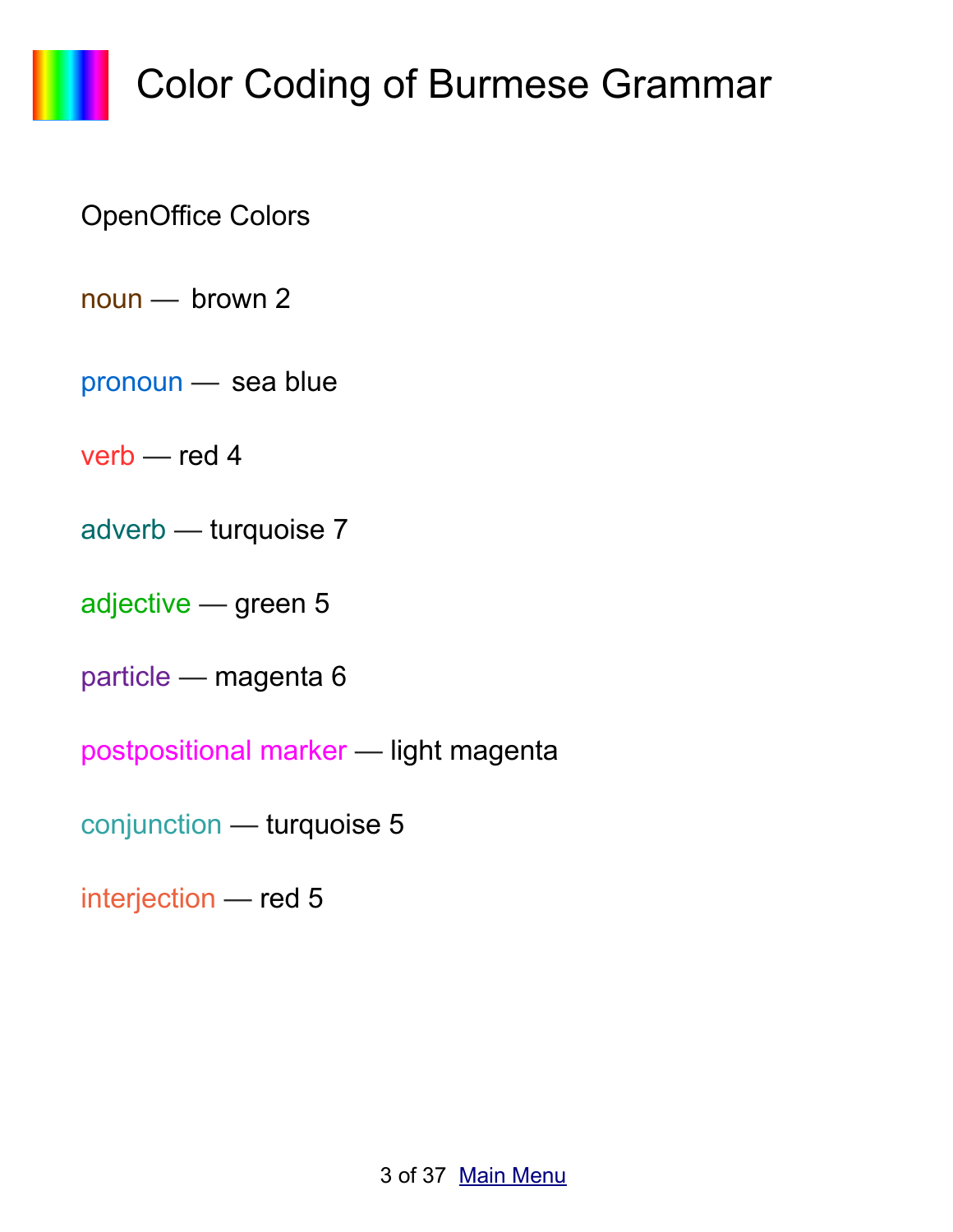# Color Coding of Burmese Grammar

#### OpenOffice Colors

- noun brown 2
- pronoun sea blue
- verb red 4
- adverb turquoise 7
- adjective green 5
- particle magenta 6
- postpositional marker light magenta
- conjunction turquoise 5
- interjection red 5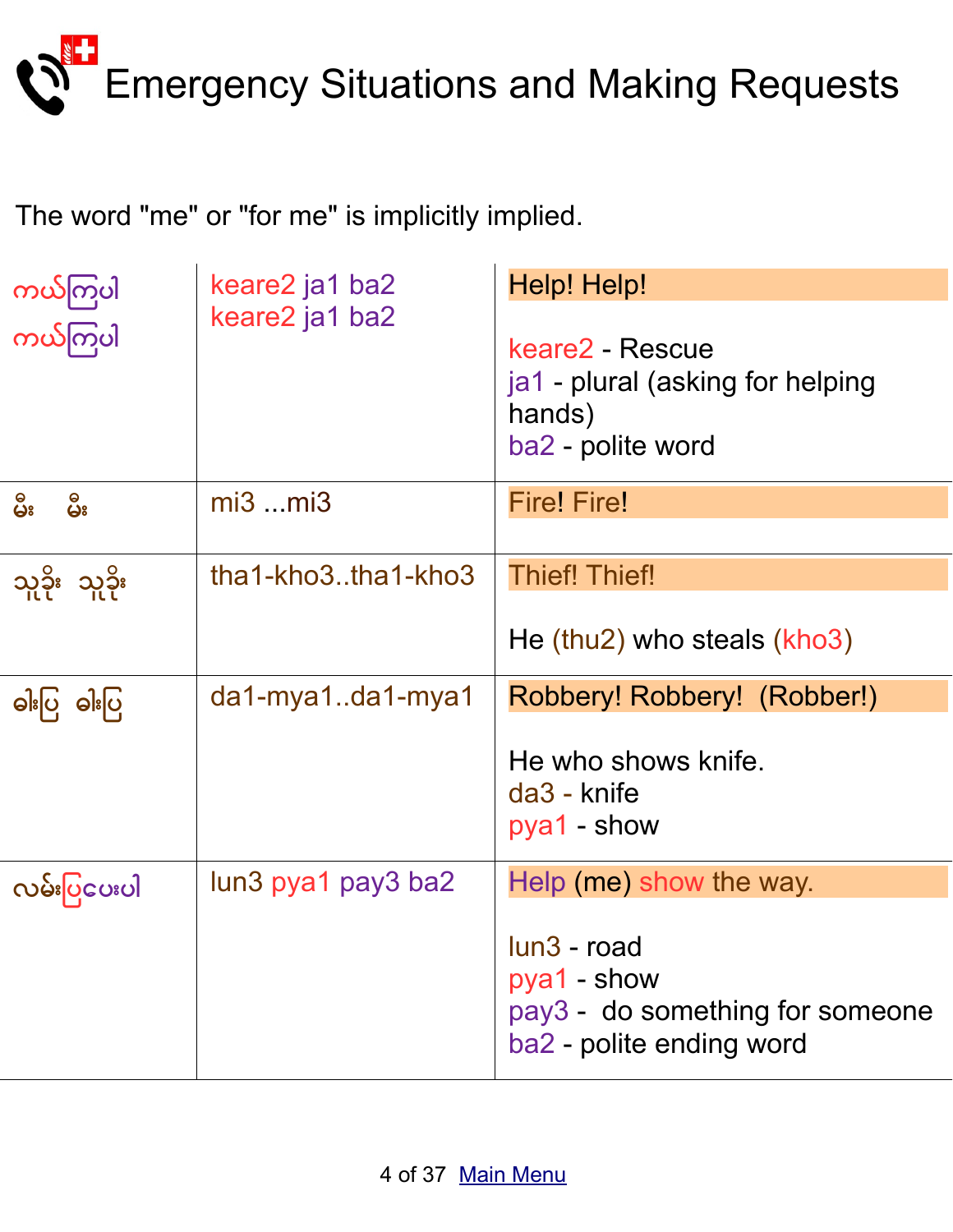<span id="page-3-0"></span>

The word "me" or "for me" is implicitly implied.

| ကယ်ကြပါ       | keare2 ja1 ba2         | Help! Help!                                                                               |
|---------------|------------------------|-------------------------------------------------------------------------------------------|
| ကယ်ကြပါ       | keare2 ja1 ba2         | keare2 - Rescue<br>ja1 - plural (asking for helping<br>hands)<br>ba2 - polite word        |
| မိုး<br>မ်ိဳး | $mi3$ $mi3$            | <b>Fire! Fire!</b>                                                                        |
|               |                        |                                                                                           |
| သူခိုး သူခိုး | $that-kho3.$ tha1-kho3 | <b>Thief! Thief!</b>                                                                      |
|               |                        | He (thu2) who steals $(kho3)$                                                             |
| ဓါးပြ ဓါးပြ   | da1-mya1da1-mya1       | Robbery! Robbery! (Robber!)                                                               |
|               |                        | He who shows knife.<br>da3 - knife<br>pya1 - show                                         |
| လမ်းပြင္မေပါ  | lun3 pya1 pay3 ba2     | Help (me) show the way.                                                                   |
|               |                        | lun3 - road<br>pya1 - show<br>pay3 - do something for someone<br>ba2 - polite ending word |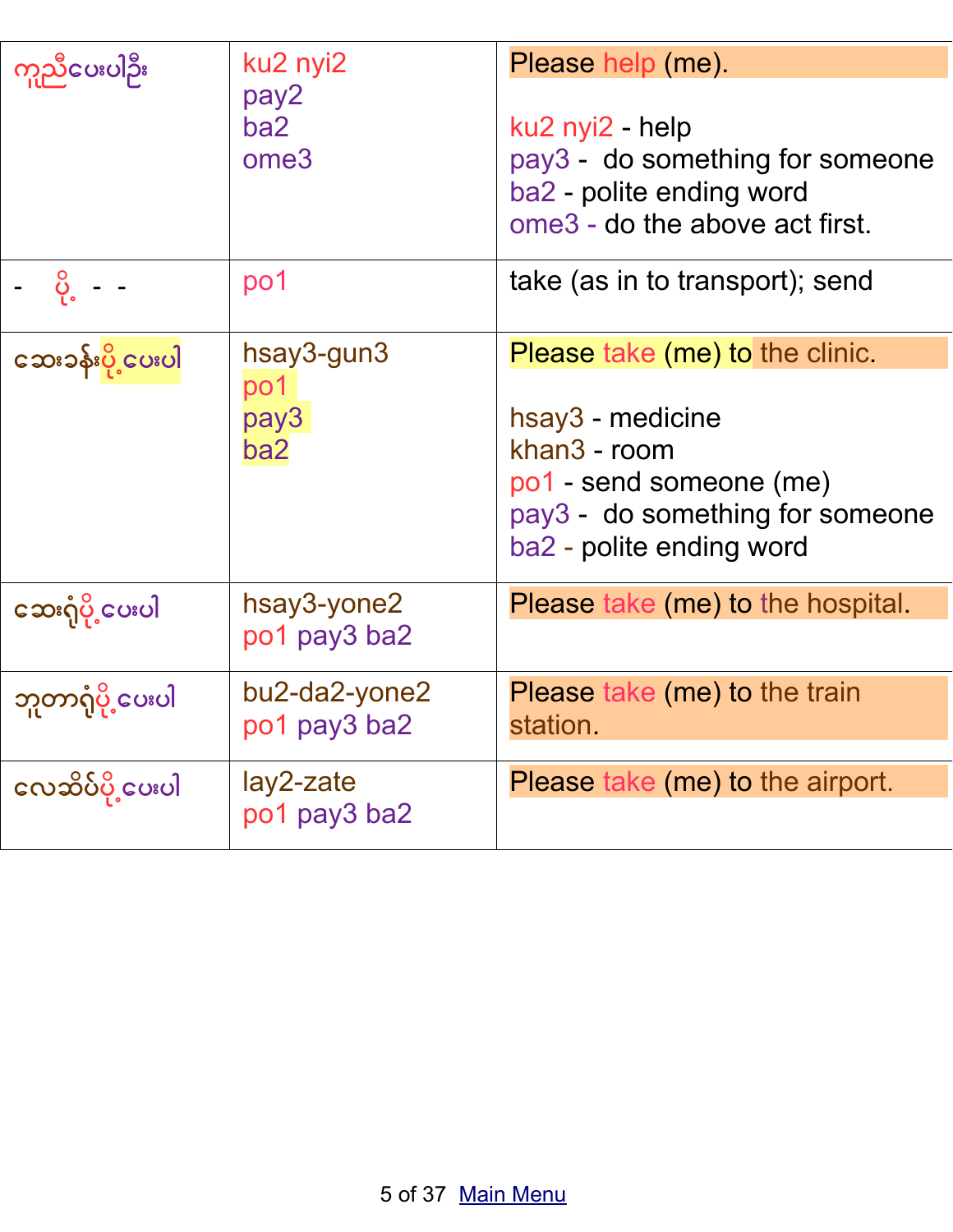| ကူညီပေးပါဦး                      | ku2 nyi2<br>pay2<br>ba2<br>ome <sub>3</sub>  | Please help (me).<br>ku2 nyi2 - help<br>pay3 - do something for someone<br>ba2 - polite ending word<br>ome3 - do the above act first.                                |
|----------------------------------|----------------------------------------------|----------------------------------------------------------------------------------------------------------------------------------------------------------------------|
| <u>ို</u> င္ပဲ - -               | po1                                          | take (as in to transport); send                                                                                                                                      |
| <mark>င</mark> ေသးခန်းပို့ငေပးပါ | hsay3-gun3<br>po <sub>1</sub><br>pay3<br>ba2 | <b>Please take (me) to the clinic.</b><br>hsay3 - medicine<br>khan3 - room<br>po1 - send someone (me)<br>pay3 - do something for someone<br>ba2 - polite ending word |
| ဆေးဂုံပို့ပေးပါ                  | hsay3-yone2<br>po1 pay3 ba2                  | Please take (me) to the hospital.                                                                                                                                    |
| ဘူတာရုံပို့ပေးပါ                 | bu2-da2-yone2<br>po1 pay3 ba2                | Please take (me) to the train<br>station.                                                                                                                            |
| လေဆိပ်ပို့ ပေးပါ                 | lay2-zate<br>po1 pay3 ba2                    | Please take (me) to the airport.                                                                                                                                     |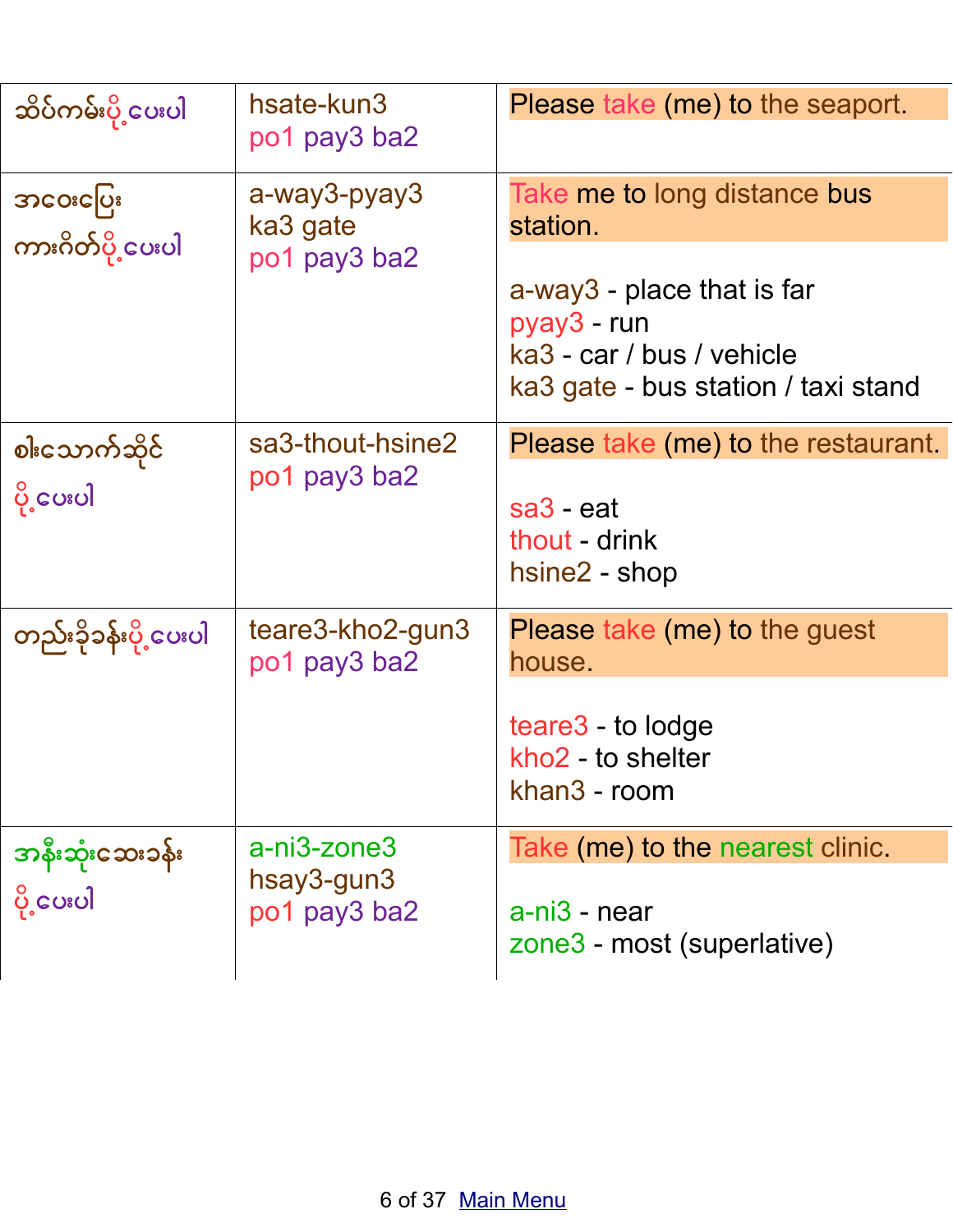| ဆိပ်ကမ်းပို့ ပေးပါ         | hsate-kun3<br>po1 pay3 ba2                                   | Please take (me) to the seaport.                                                                              |
|----------------------------|--------------------------------------------------------------|---------------------------------------------------------------------------------------------------------------|
| အ၀ေးပြေး                   | a-way3-pyay3<br>ka3 gate<br>ကားဂိတ်ပို့ပေးပါ<br>po1 pay3 ba2 | Take me to long distance bus<br>station.                                                                      |
|                            |                                                              | a-way3 - place that is far<br>pyay3 - run<br>ka3 - car / bus / vehicle<br>ka3 gate - bus station / taxi stand |
| စါးသောက်ဆိုင်              | sa3-thout-hsine2                                             | Please take (me) to the restaurant.                                                                           |
| po1 pay3 ba2<br>ပို့ငေပးပါ | sa <sub>3</sub> - eat<br>thout - drink<br>hsine2 - shop      |                                                                                                               |
| တည်းခိုခန်းပို့ ပေးပါ      | teare3-kho2-gun3<br>po1 pay3 ba2                             | Please take (me) to the guest<br>house.                                                                       |
|                            |                                                              | teare3 - to lodge<br>kho <sub>2</sub> - to shelter<br>khan3 - room                                            |
| အနီးဆုံးဆေးခန်း            | a-ni3-zone3                                                  | Take (me) to the nearest clinic.                                                                              |
| ပို့ပေးပါ                  | hsay3-gun3<br>po1 pay3 ba2                                   | a-ni3 - near<br>zone3 - most (superlative)                                                                    |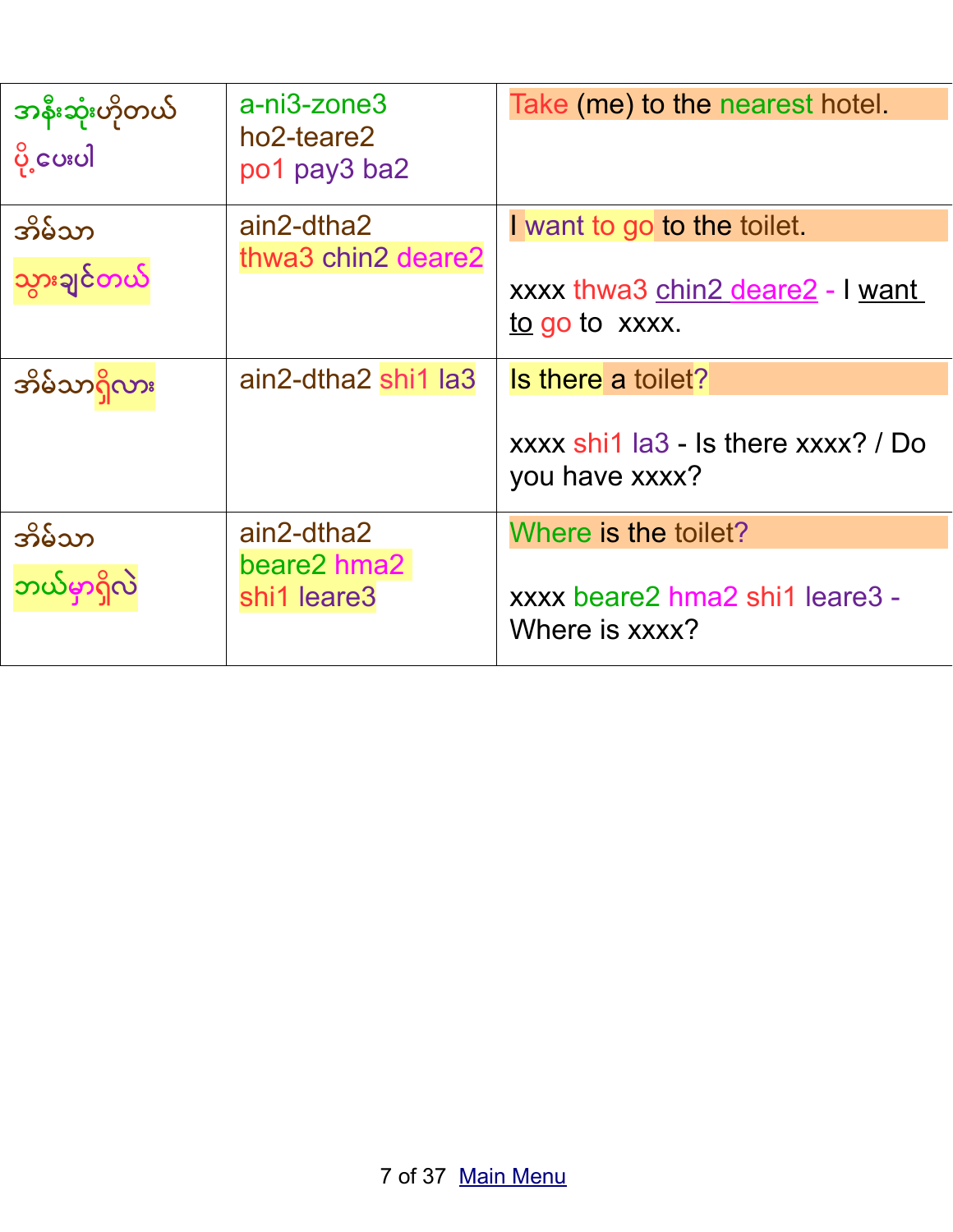| အနီးဆုံးဟိုတယ်<br>ပို့ပေးပါ | a-ni3-zone3<br>ho2-teare2<br>po1 pay3 ba2 | Take (me) to the nearest hotel.                       |
|-----------------------------|-------------------------------------------|-------------------------------------------------------|
| အိမ်သာ                      | ain2-dtha2<br>thwa3 chin2 deare2          | I want to go to the toilet.                           |
| သွားချင်တယ်                 |                                           | xxxx thwa3 chin2 deare2 - I want<br>to go to xxxx.    |
| အိမ်သာရှိလား                | ain2-dtha2 shi1 la3                       | Is there a toilet?                                    |
|                             |                                           | xxxx shi1 la3 - Is there xxxx? / Do<br>you have xxxx? |
| အိမ်သာ                      | ain2-dtha2                                | Where is the toilet?                                  |
| ဘယ်မှာရှိလဲ                 | beare2 hma2<br>shi1 leare3                | xxxx beare2 hma2 shi1 leare3 -<br>Where is xxxx?      |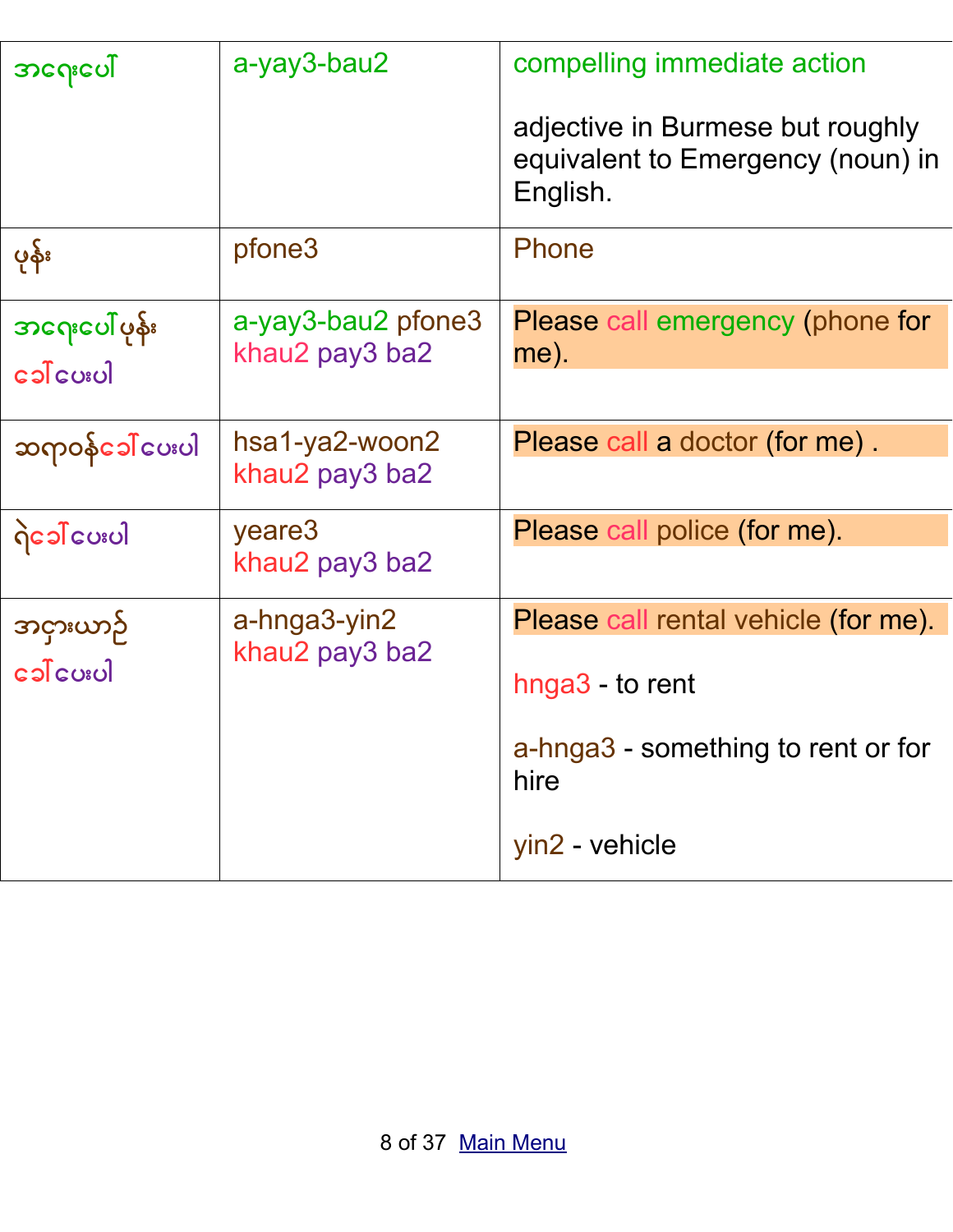| အဂေးပေါ်               | a-yay3-bau2        | compelling immediate action                                                       |
|------------------------|--------------------|-----------------------------------------------------------------------------------|
|                        |                    | adjective in Burmese but roughly<br>equivalent to Emergency (noun) in<br>English. |
| ပုန်း                  | pfone3             | Phone                                                                             |
| <u> အဂေးပေါ် ပုန်း</u> | a-yay3-bau2 pfone3 | <b>Please call emergency (phone for</b>                                           |
|                        | khau2 pay3 ba2     | me).                                                                              |
| ဆရာဝန်ခေါ် ပေးပါ       | hsa1-ya2-woon2     | Please call a doctor (for me).                                                    |
|                        | khau2 pay3 ba2     |                                                                                   |
| ဂြဲ၁ေါ် ပေးပါ          | yeare3             | Please call police (for me).                                                      |
|                        | khau2 pay3 ba2     |                                                                                   |
| အငှားယာဉ်              | a-hnga3-yin2       | Please call rental vehicle (for me).                                              |
| khau2 pay3 ba2         |                    | hnga3 - to rent                                                                   |
|                        |                    | a-hnga3 - something to rent or for<br>hire                                        |
|                        |                    | yin2 - vehicle                                                                    |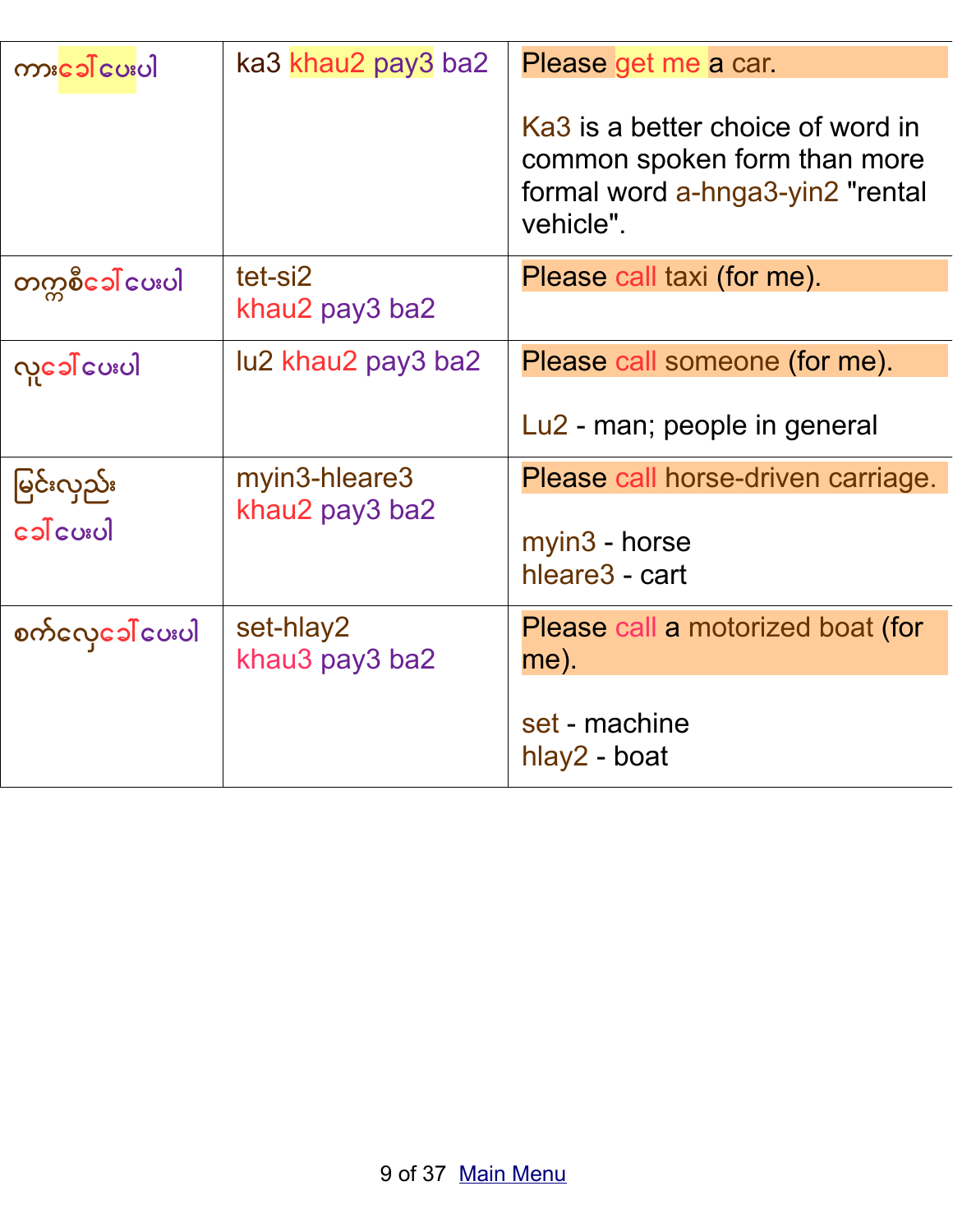| ကားဒေါ် ပေးပါ    | ka3 khau2 pay3 ba2          | Please get me a car.                                                                                               |
|------------------|-----------------------------|--------------------------------------------------------------------------------------------------------------------|
|                  |                             | Ka3 is a better choice of word in<br>common spoken form than more<br>formal word a-hnga3-yin2 "rental<br>vehicle". |
| တက္ကစီေခါ် ေပးပါ | tet-si2<br>khau2 pay3 ba2   | Please call taxi (for me).                                                                                         |
| လူခေါ် ပေးပါ     | lu2 khau2 pay3 ba2          | Please call someone (for me).                                                                                      |
|                  |                             | Lu2 - man; people in general                                                                                       |
| မြင်းလှည်း       | myin3-hleare3               | Please call horse-driven carriage.                                                                                 |
|                  | khau2 pay3 ba2              | myin3 - horse<br>hleare <sub>3</sub> - cart                                                                        |
| စက်လှေဒေါ် ပေးပါ | set-hlay2<br>khau3 pay3 ba2 | Please call a motorized boat (for<br>me).                                                                          |
|                  |                             | set - machine<br>hlay2 - boat                                                                                      |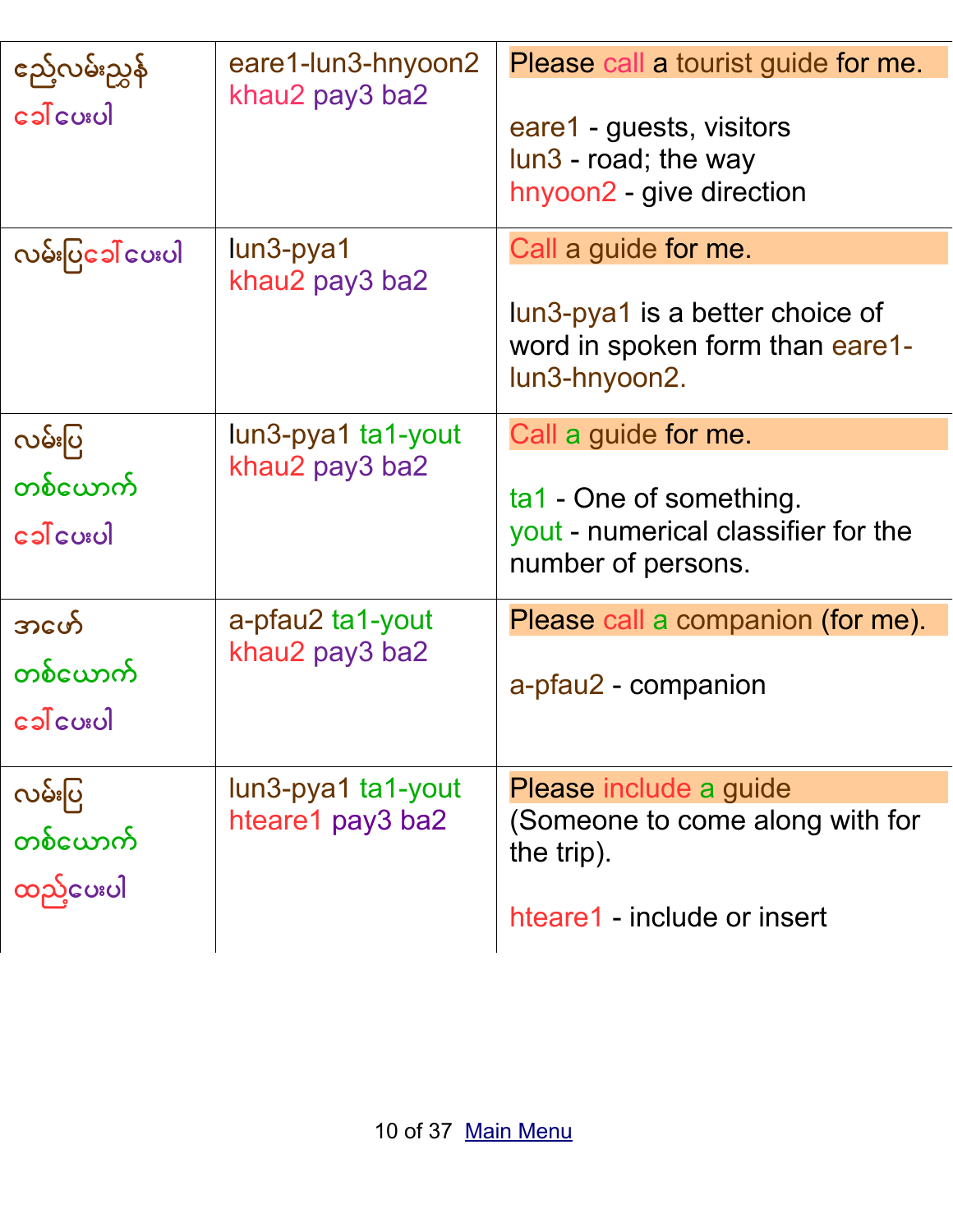| ည်ေ့လမ်းညွှန်         | eare1-lun3-hnyoon2                                                           | Please call a tourist guide for me.                                                                         |
|-----------------------|------------------------------------------------------------------------------|-------------------------------------------------------------------------------------------------------------|
| khau2 pay3 ba2        | eare1 - guests, visitors<br>lun3 - road; the way<br>hnyoon2 - give direction |                                                                                                             |
| လမ်းပြင္ခေါ် ပေးပါ    | $l$ un3-pya1<br>khau2 pay3 ba2                                               | Call a guide for me.<br>lun3-pya1 is a better choice of<br>word in spoken form than eare1-<br>lun3-hnyoon2. |
| လမ်းပြ                | lun3-pya1 ta1-yout                                                           | Call a guide for me.                                                                                        |
| တစ်ယောက်<br>ပေးပါင္ပ  | khau2 pay3 ba2                                                               | ta1 - One of something.<br>yout - numerical classifier for the<br>number of persons.                        |
| အဖော်                 | a-pfau2 ta1-yout                                                             | Please call a companion (for me).                                                                           |
| တစ်ယောက်<br>ခေါ်ပေးပါ | khau2 pay3 ba2                                                               | a-pfau2 - companion                                                                                         |
| လမ်းပြ                | lun3-pya1 ta1-yout                                                           | Please include a guide                                                                                      |
| တစ်ယောက်<br>ထည့်ပေးပါ | hteare1 pay3 ba2                                                             | (Someone to come along with for<br>the trip).                                                               |
|                       |                                                                              | hteare1 - include or insert                                                                                 |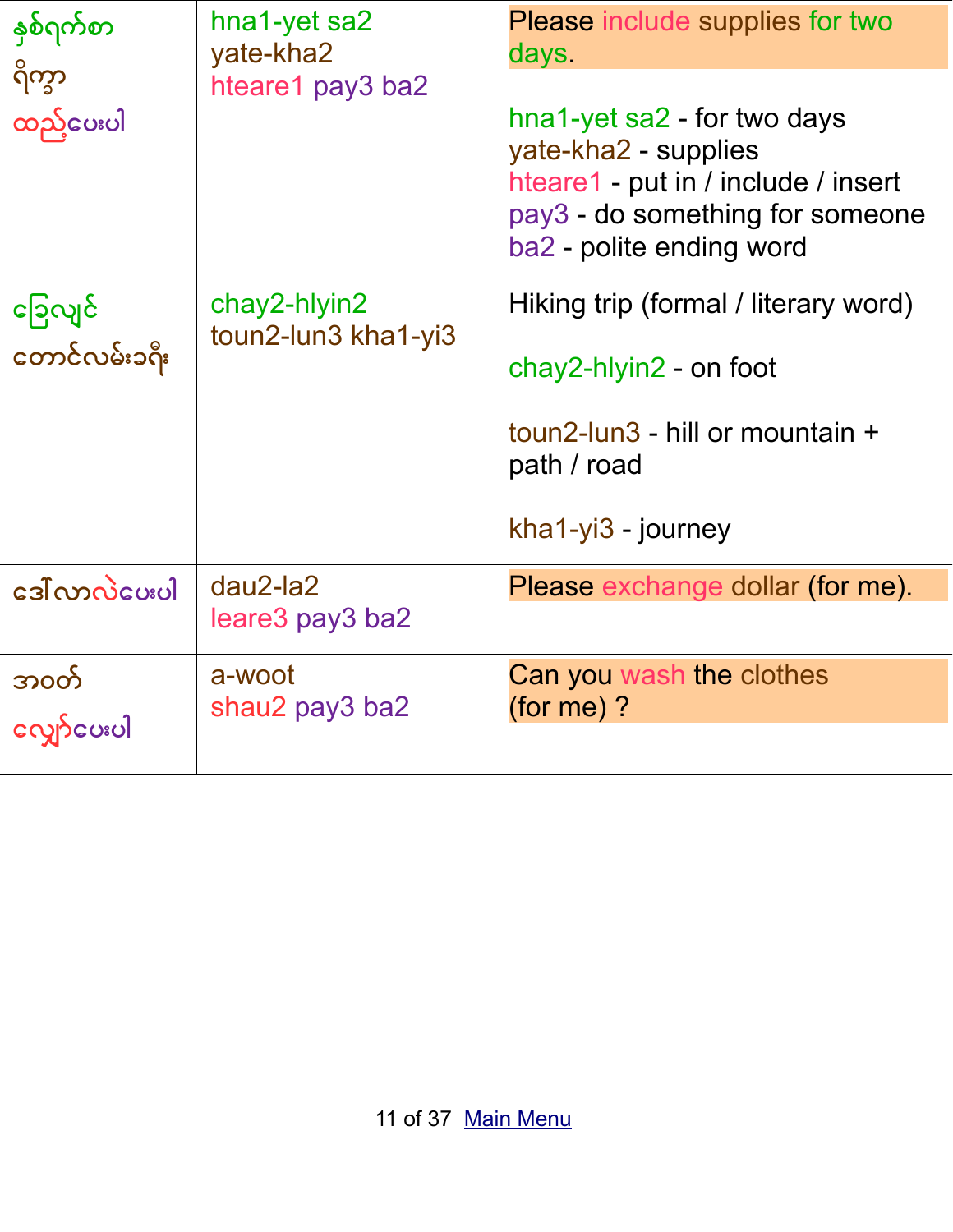| နှစ်ရက်စာ                | hna1-yet sa2<br>yate-kha2           | <b>Please include supplies for two</b><br>days.                                                                                                           |
|--------------------------|-------------------------------------|-----------------------------------------------------------------------------------------------------------------------------------------------------------|
| ရိက္ခာ<br>ထည့်ပေးပါ      | hteare1 pay3 ba2                    | hna1-yet sa2 - for two days<br>yate-kha2 - supplies<br>hteare1 - put in / include / insert<br>pay3 - do something for someone<br>ba2 - polite ending word |
| ခြေလျင်<br>တောင်လမ်းခရီး | chay2-hlyin2<br>toun2-lun3 kha1-yi3 | Hiking trip (formal / literary word)<br>$chay2-hlyin2$ - on foot<br>toun2-lun3 - hill or mountain +<br>path / road<br>$kha1-yi3 - journey$                |
| ဒေါ်လာလဲပေးပါ            | $dau2$ -la2<br>leare3 pay3 ba2      | Please exchange dollar (for me).                                                                                                                          |
| အ၀တ်<br>လျှော်ပေးပါ      | a-woot<br>shau2 pay3 ba2            | Can you wash the clothes<br>(for me) $?$                                                                                                                  |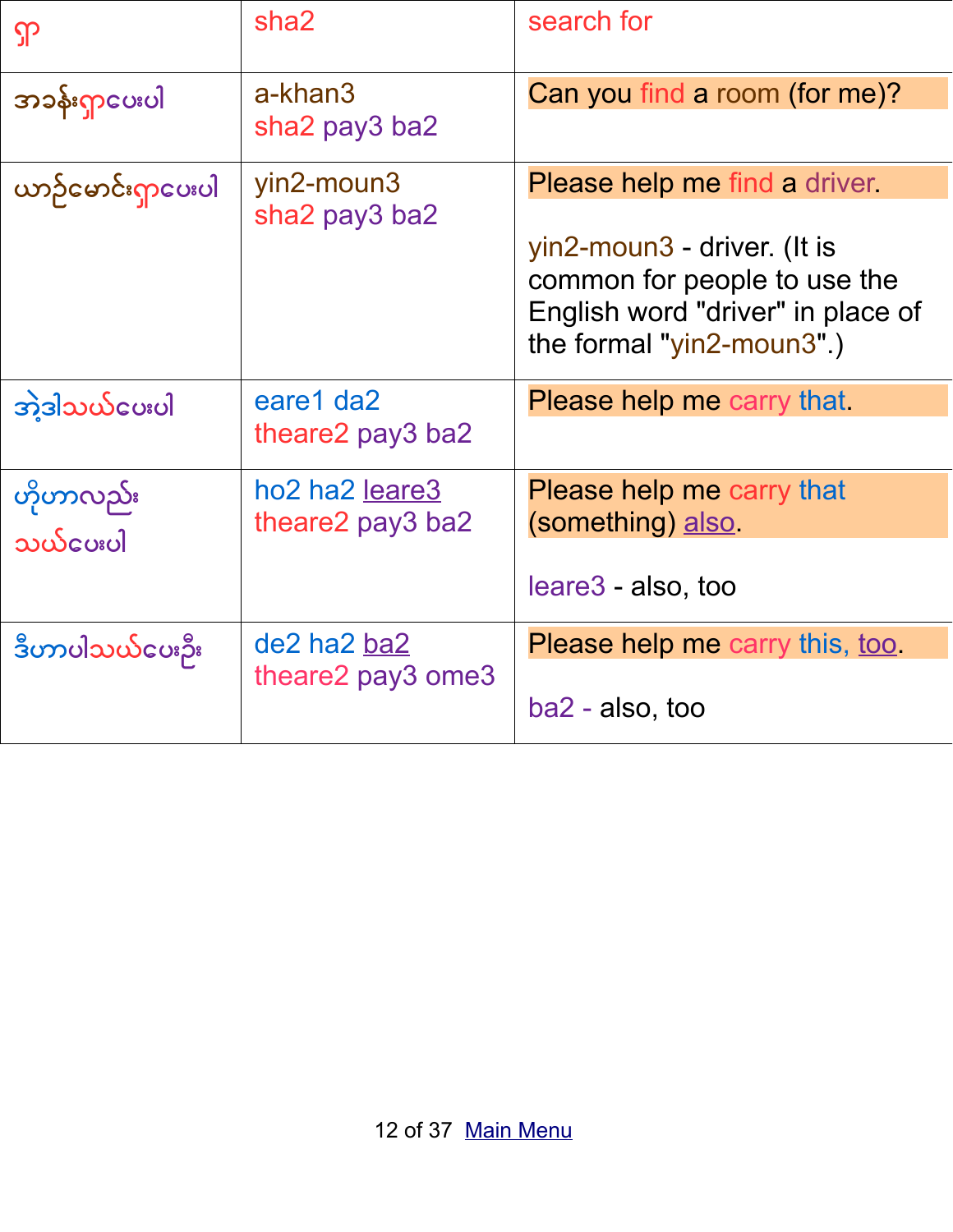| ၡာ                    | sha <sub>2</sub>                   | search for                                                                                                                                                                     |
|-----------------------|------------------------------------|--------------------------------------------------------------------------------------------------------------------------------------------------------------------------------|
| အခန်းရှာပေးပါ         | a-khan3<br>sha2 pay3 ba2           | Can you find a room (for me)?                                                                                                                                                  |
| ယာဉ်မောင်းရှာပေးပါ    | yin2-moun3<br>sha2 pay3 ba2        | <b>Please help me find a driver.</b><br>yin2-moun3 - driver. (It is<br>common for people to use the<br>English word "driver" in place of<br>the formal " $\gamma$ in2-moun3".) |
| <u> အဲ့ဒါသယ်ပေးပါ</u> | eare1 da2<br>theare2 pay3 ba2      | Please help me carry that.                                                                                                                                                     |
| ဟိုဟာလည်း<br>သယ်ပေးပါ | ho2 ha2 leare3<br>theare2 pay3 ba2 | Please help me carry that<br>(something) also<br>leare3 - also, too                                                                                                            |
| ဒီဟာပါသယ်ပေးဉီး       | de2 ha2 ba2<br>theare2 pay3 ome3   | Please help me carry this, <u>too</u> .<br>$ba2 - also, too$                                                                                                                   |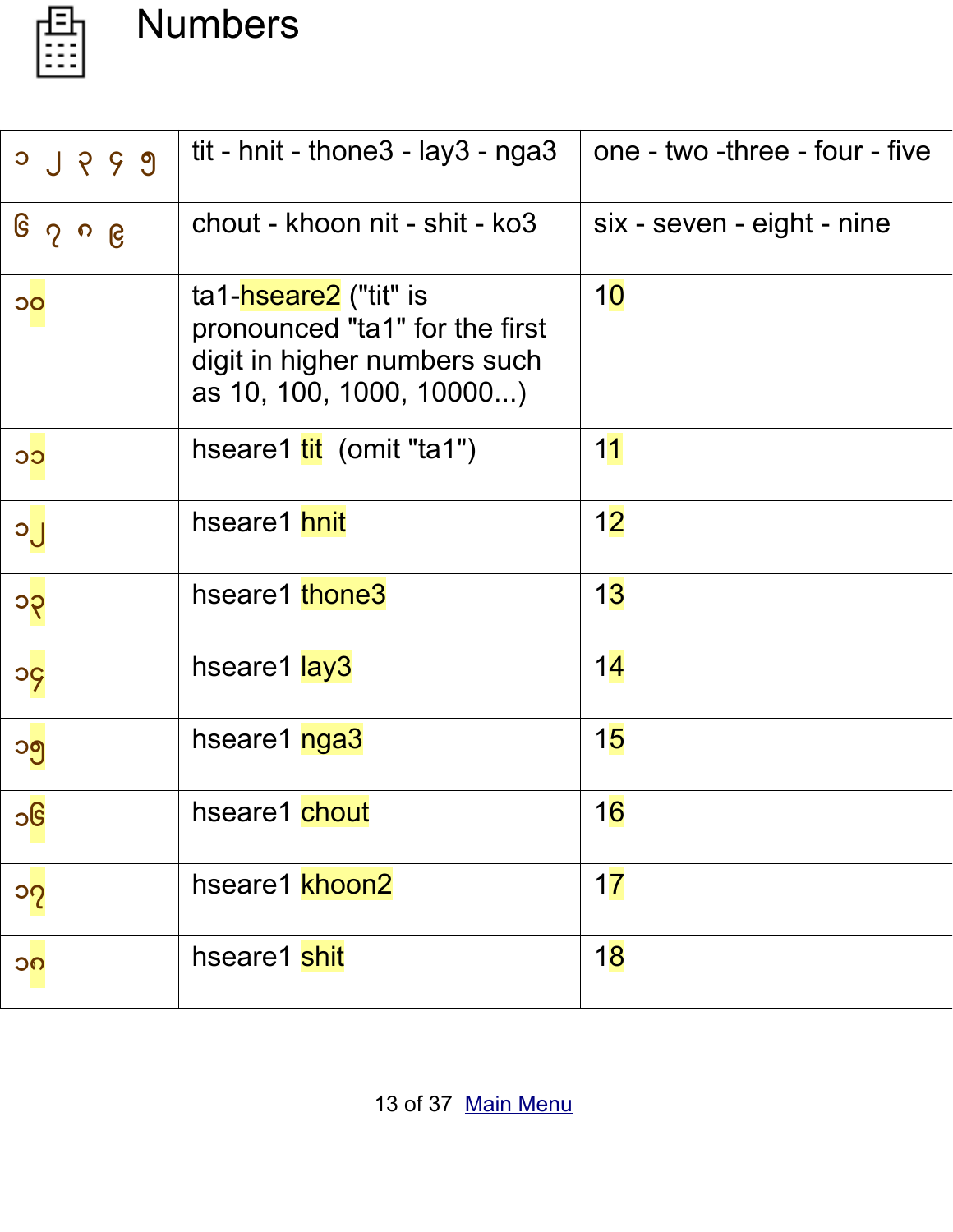

# <span id="page-12-0"></span>Numbers

| 0 9 9 0        | tit - hnit - thone $3$ - lay $3$ - nga $3$                                                                          | one - two -three - four - five |
|----------------|---------------------------------------------------------------------------------------------------------------------|--------------------------------|
| ၆ ၇ ၈ ၉        | chout - khoon nit - shit - ko3                                                                                      | six - seven - eight - nine     |
| $\overline{O}$ | ta1-hseare2 ("tit" is<br>pronounced "ta1" for the first<br>digit in higher numbers such<br>as 10, 100, 1000, 10000) | 10                             |
| CC             | hseare1 tit (omit "ta1")                                                                                            | 11                             |
| <b>D</b> C     | hseare1 hnit                                                                                                        | 12                             |
| ၁၃             | hseare1 thone3                                                                                                      | 13                             |
| <b>PC</b>      | hseare1 lay3                                                                                                        | 14                             |
| ၁၅             | hseare1 nga3                                                                                                        | 15                             |
| ၁၆             | hseare1 chout                                                                                                       | 16                             |
| ၁၇             | hseare1 khoon2                                                                                                      | 17                             |
| ၁၈             | hseare1 shit                                                                                                        | 18                             |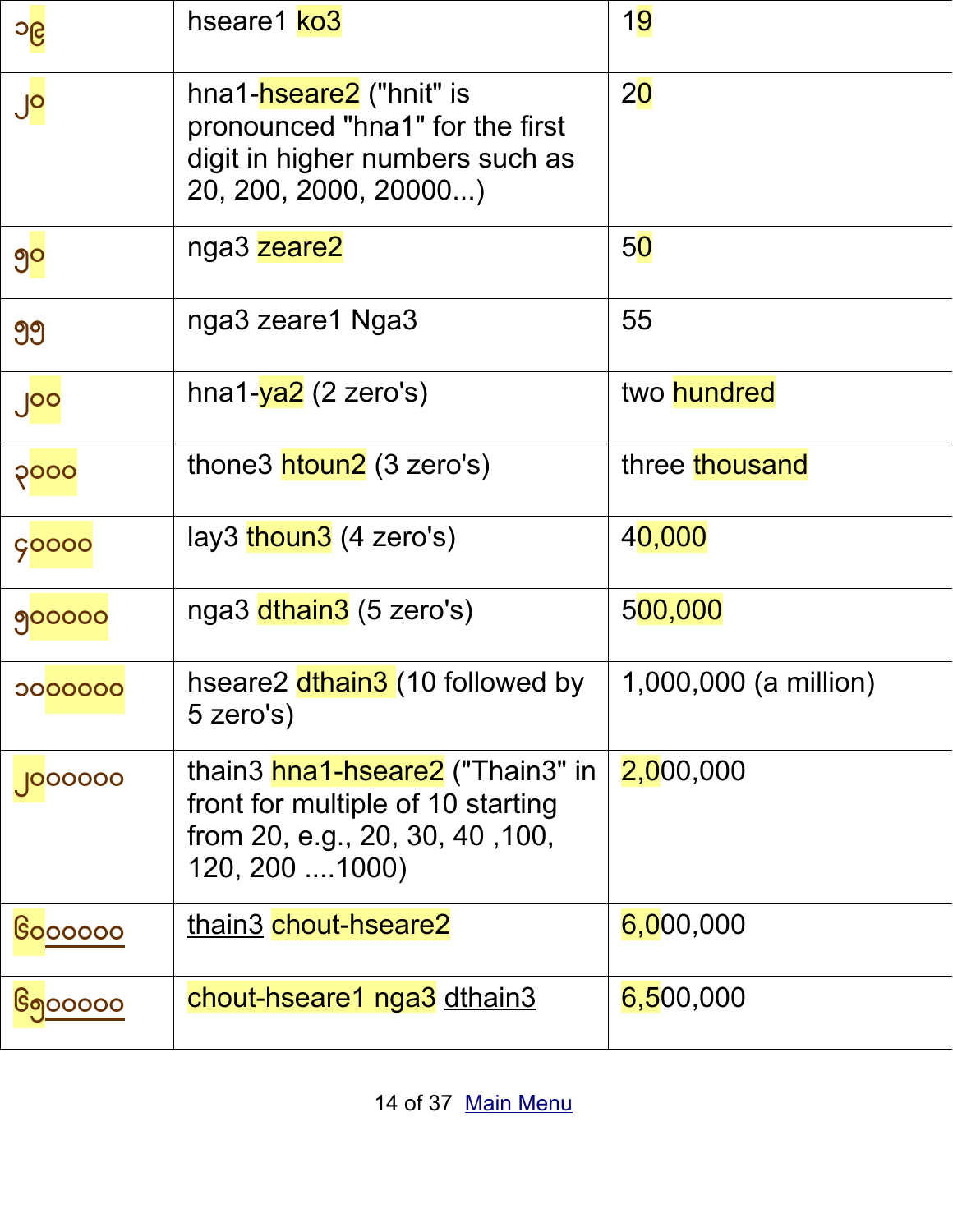| ၁၉               | hseare1 ko3                                                                                                                        | 19                    |
|------------------|------------------------------------------------------------------------------------------------------------------------------------|-----------------------|
| $J^{\mathsf{o}}$ | hna1- <del>hseare2</del> ("hnit" is<br>pronounced "hna1" for the first<br>digit in higher numbers such as<br>20, 200, 2000, 20000) | 20                    |
| ၅၀               | nga3 zeare2                                                                                                                        | 50                    |
| 99               | nga3 zeare1 Nga3                                                                                                                   | 55                    |
| ၂၀၀              | hna1-ya2 (2 zero's)                                                                                                                | two <b>hundred</b>    |
| ၃၀၀၀             | thone3 htoun2 (3 zero's)                                                                                                           | three thousand        |
| <b>ÇOOOO</b>     | lay3 thoun3 (4 zero's)                                                                                                             | 40,000                |
| 900000           | nga3 dthain3 (5 zero's)                                                                                                            | 500,000               |
| 0000000          | hseare2 dthain3 (10 followed by<br>5 zero's)                                                                                       | 1,000,000 (a million) |
| 000000           | thain3 hna1-hseare2 ("Thain3" in<br>front for multiple of 10 starting<br>from 20, e.g., 20, 30, 40, 100,<br>120, 200  1000)        | 2,000,000             |
| <b>Soooooo</b>   | thain3 chout-hseare2                                                                                                               | 6,000,000             |
| <u>၆၅</u> ၀၀၀၀၀  | chout-hseare1 nga3 dthain3                                                                                                         | 6,500,000             |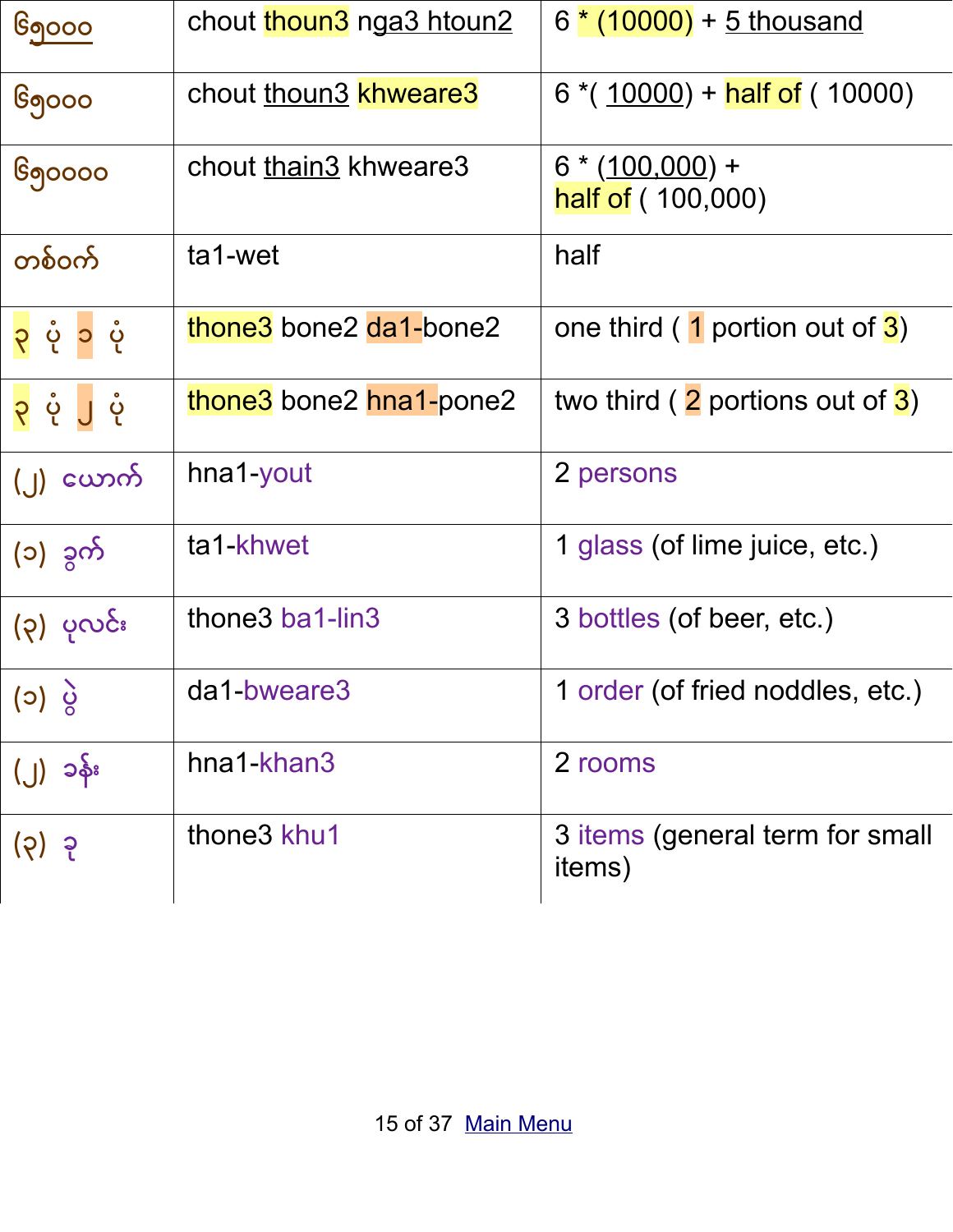| <u> ၆၅၀၀၀</u> | chout thoun3 nga3 htoun2            | 6 * (10000) + 5 thousand                  |
|---------------|-------------------------------------|-------------------------------------------|
| ၆၅၀၀၀         | chout thoun3 khweare3               | $6*(10000)$ + half of (10000)             |
| ၆၅၀၀၀၀        | chout thain3 khweare3               | $6*(100,000)$ +<br>half of (100,000)      |
| တစ်ဝက်        | ta1-wet                             | half                                      |
| ၃ ပုံ ၁ ပုံ   | thone3 bone2 da1-bone2              | one third $(1$ portion out of $3)$        |
| ၃ ပုံ ၂ ပုံ   | thone3 bone2 hna1-pone2             | two third $(2$ portions out of $3)$       |
| (၂) ယောက်     | hna1-yout                           | 2 persons                                 |
| (၁) ခွက်      | ta1-khwet                           | 1 glass (of lime juice, etc.)             |
| (၃) ပုလင်း    | thone3 ba1-lin3                     | 3 bottles (of beer, etc.)                 |
| (၁) ပွဲ       | da1-bweare3                         | 1 order (of fried noddles, etc.)          |
| (၂) ၁န်း      | hna1-khan3                          | 2 rooms                                   |
| (၃) ခု        | thone <sub>3</sub> khu <sub>1</sub> | 3 items (general term for small<br>items) |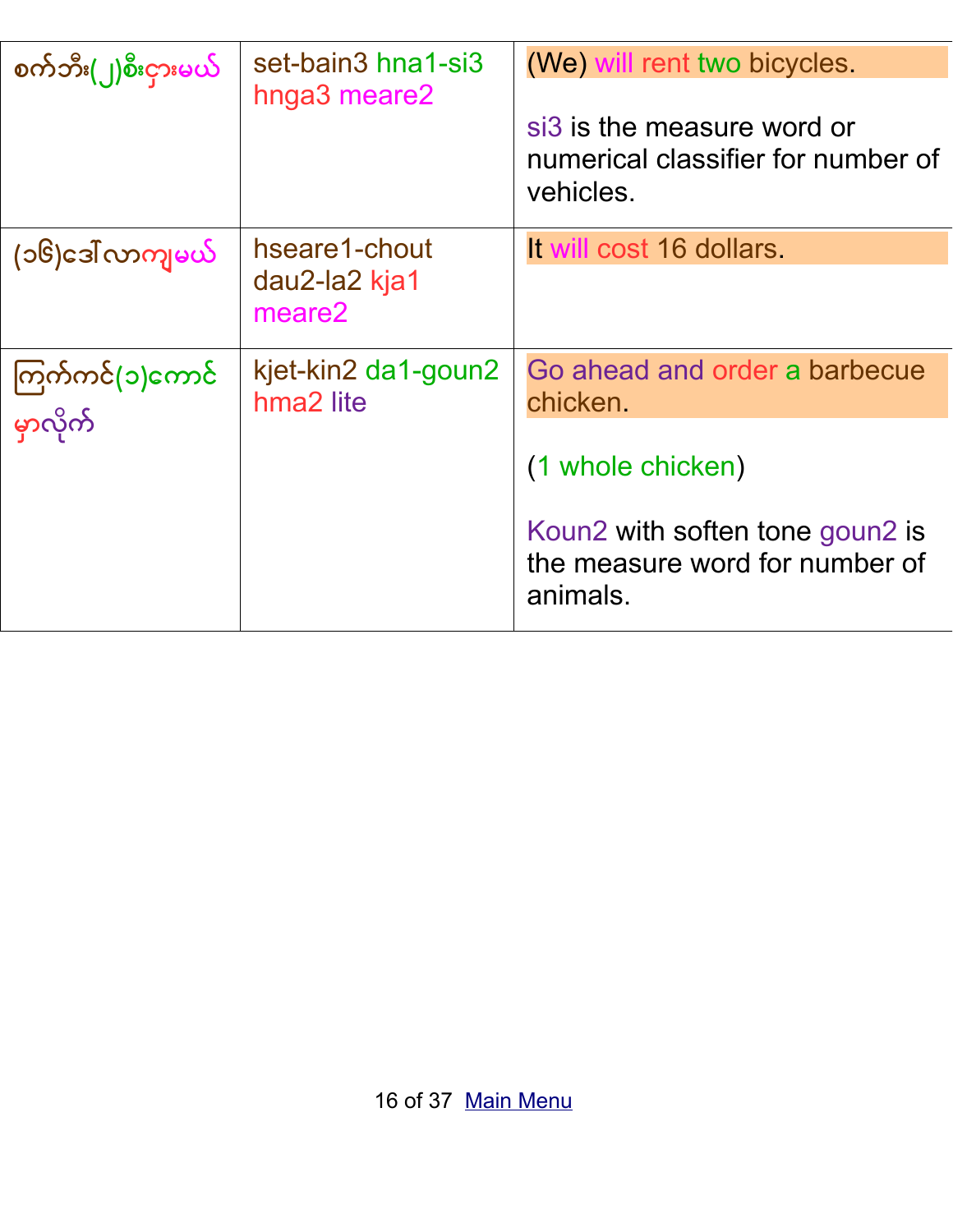| စက်ဘီး(၂)စီးငှားမယ်         | set-bain3 hna1-si3<br>hnga3 meare2           | (We) will rent two bicycles.<br>si3 is the measure word or<br>numerical classifier for number of<br>vehicles.                                   |
|-----------------------------|----------------------------------------------|-------------------------------------------------------------------------------------------------------------------------------------------------|
| (၁၆)ဒေါ် လာကျမယ်            | hseare1-chout<br>dau2-la2 kja1<br>meare2     | It will cost 16 dollars.                                                                                                                        |
| ကြက်ကင်(၁)ကောင်<br>မှာလိုက် | kjet-kin2 da1-goun2<br>hma <sub>2</sub> lite | Go ahead and order a barbecue<br>chicken.<br>(1 whole chicken)<br>Koun2 with soften tone goun2 is<br>the measure word for number of<br>animals. |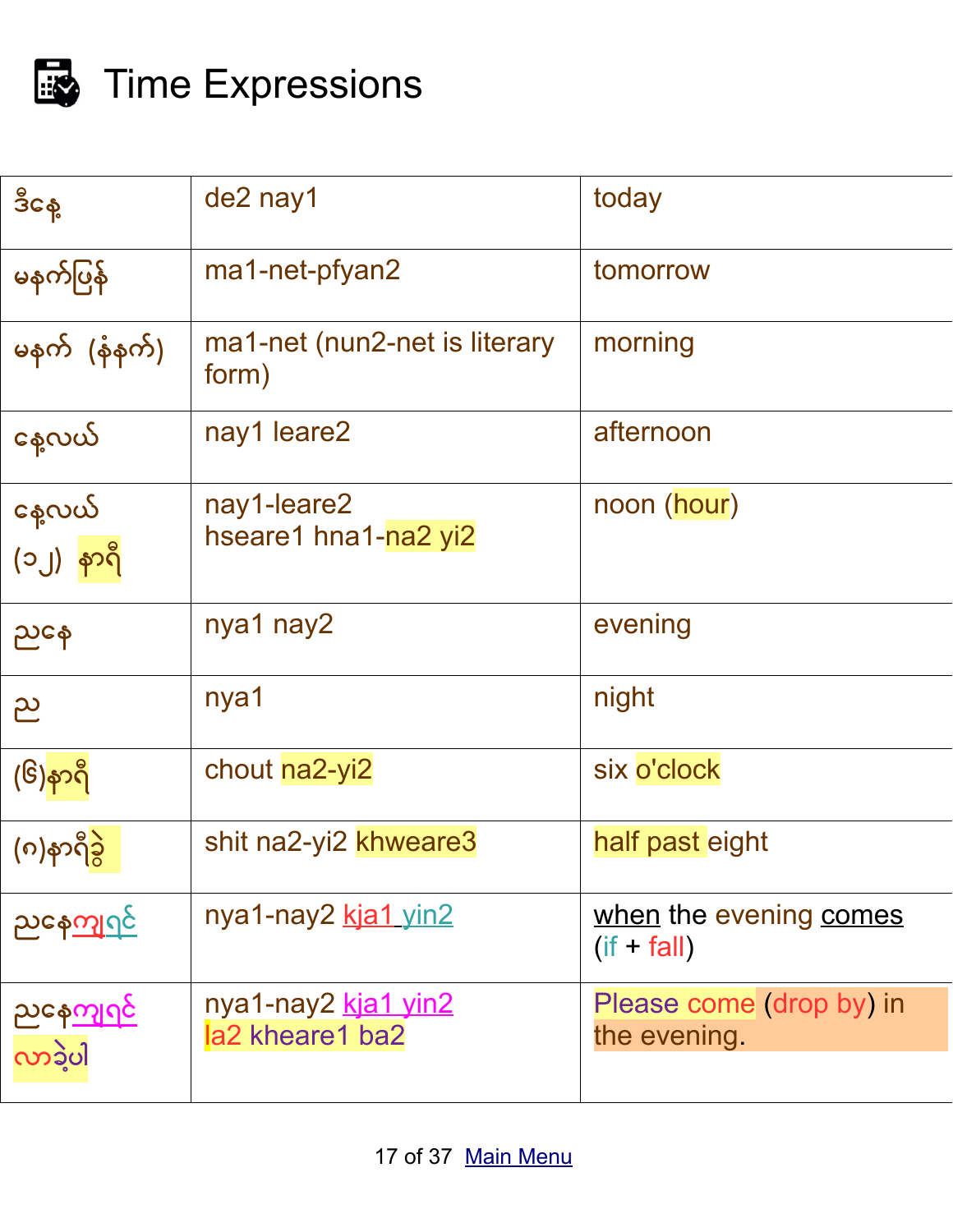

# <span id="page-16-0"></span>Time Expressions

| ဒီငန့                            | de2 nay1                               | today                                    |
|----------------------------------|----------------------------------------|------------------------------------------|
| မနက်ပြန်                         | ma1-net-pfyan2                         | tomorrow                                 |
| မနက် (နံနက်)                     | ma1-net (nun2-net is literary<br>form) | morning                                  |
| နေ့လယ်                           | nay1 leare2                            | afternoon                                |
| နေ့လယ်<br>(၁၂) <mark>နာရီ</mark> | nay1-leare2<br>hseare1 hna1-na2 yi2    | noon (hour)                              |
| ညနေ                              | nya1 nay2                              | evening                                  |
| ည                                | nya1                                   | night                                    |
| (၆)နာရီ                          | chout na2-yi2                          | six o'clock                              |
| (၈)နာရီခွဲ                       | shit na2-yi2 khweare3                  | half past eight                          |
| <u>ညနေကျဂုင်</u>                 | nya1-nay2 kja1 yin2                    | when the evening comes<br>$(if + fall)$  |
| <u>ညနေကျဂုင်</u><br>လာခဲ့ပါ      | nya1-nay2 kja1 yin2<br>la2 kheare1 ba2 | Please come (drop by) in<br>the evening. |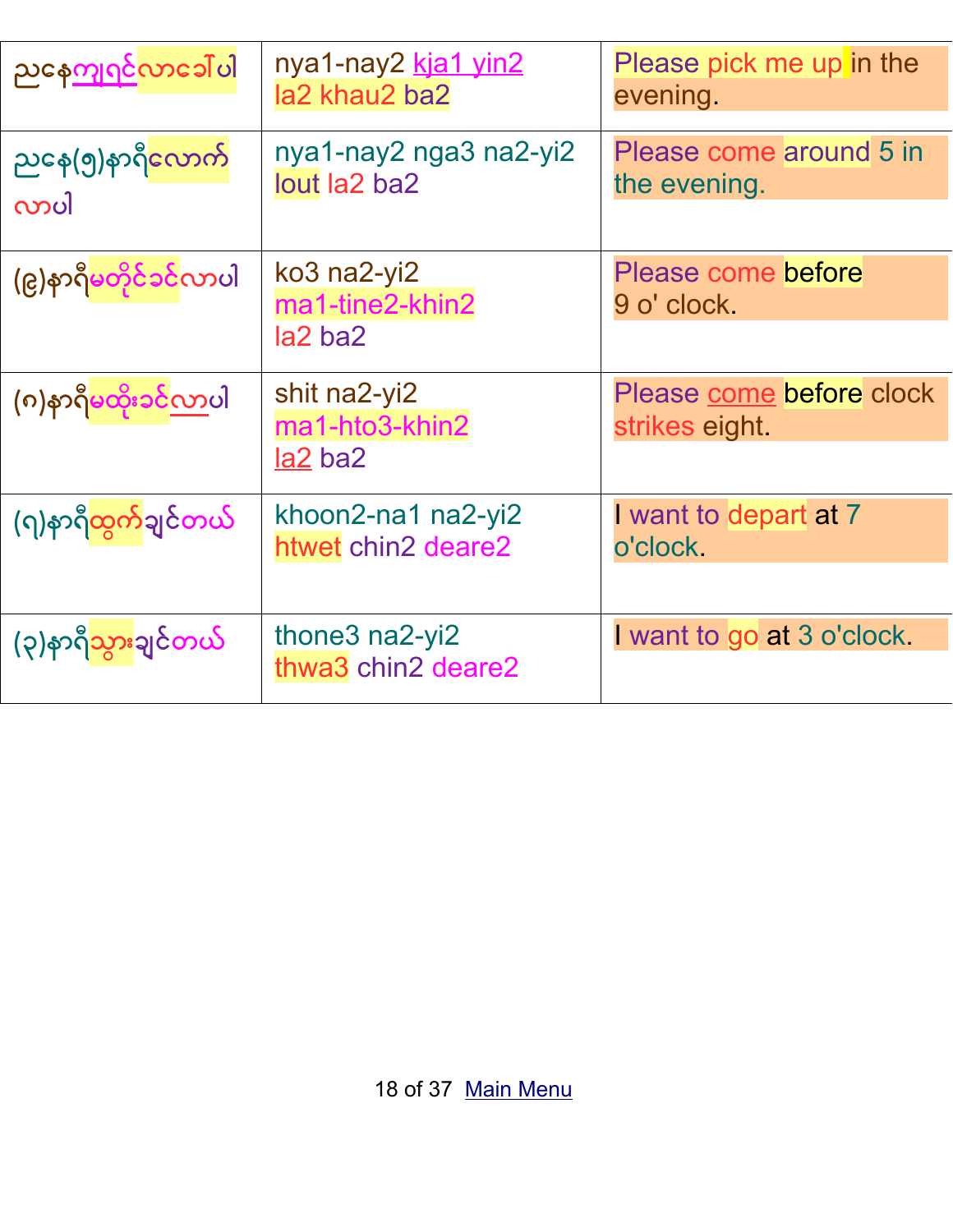| ညနေ <u>ကျဂင်</u> လာခေါ်ပါ                | nya1-nay2 kja1 yin2<br>la2 khau2 ba2        | Please pick me up in the<br>evening.       |
|------------------------------------------|---------------------------------------------|--------------------------------------------|
| ညနေ(၅)နာရ <mark>ီလောက</mark> ်<br>လာပါ   | nya1-nay2 nga3 na2-yi2<br>lout la2 ba2      | Please come around 5 in<br>the evening.    |
| (၉)နာရီမတိုင်ခင်လာပါ                     | ko3 na2-yi2<br>ma1-tine2-khin2<br>$ a2$ ba2 | Please come before<br>9 o' clock.          |
| (၈)နာရီ <mark>မထိုး၁င်<u>လ</u>ာပါ</mark> | shit na2-yi2<br>ma1-hto3-khin2<br>la2 ba2   | Please come before clock<br>strikes eight. |
| (႟နာရီ <mark>ထွက်</mark> ချင်တယ်         | khoon2-na1 na2-yi2<br>htwet chin2 deare2    | I want to depart at 7<br>o'clock.          |
| (၃)နာရ <mark>ီသွား</mark> ချင်တယ်        | thone3 na2-yi2<br>thwa3 chin2 deare2        | I want to go at 3 o'clock.                 |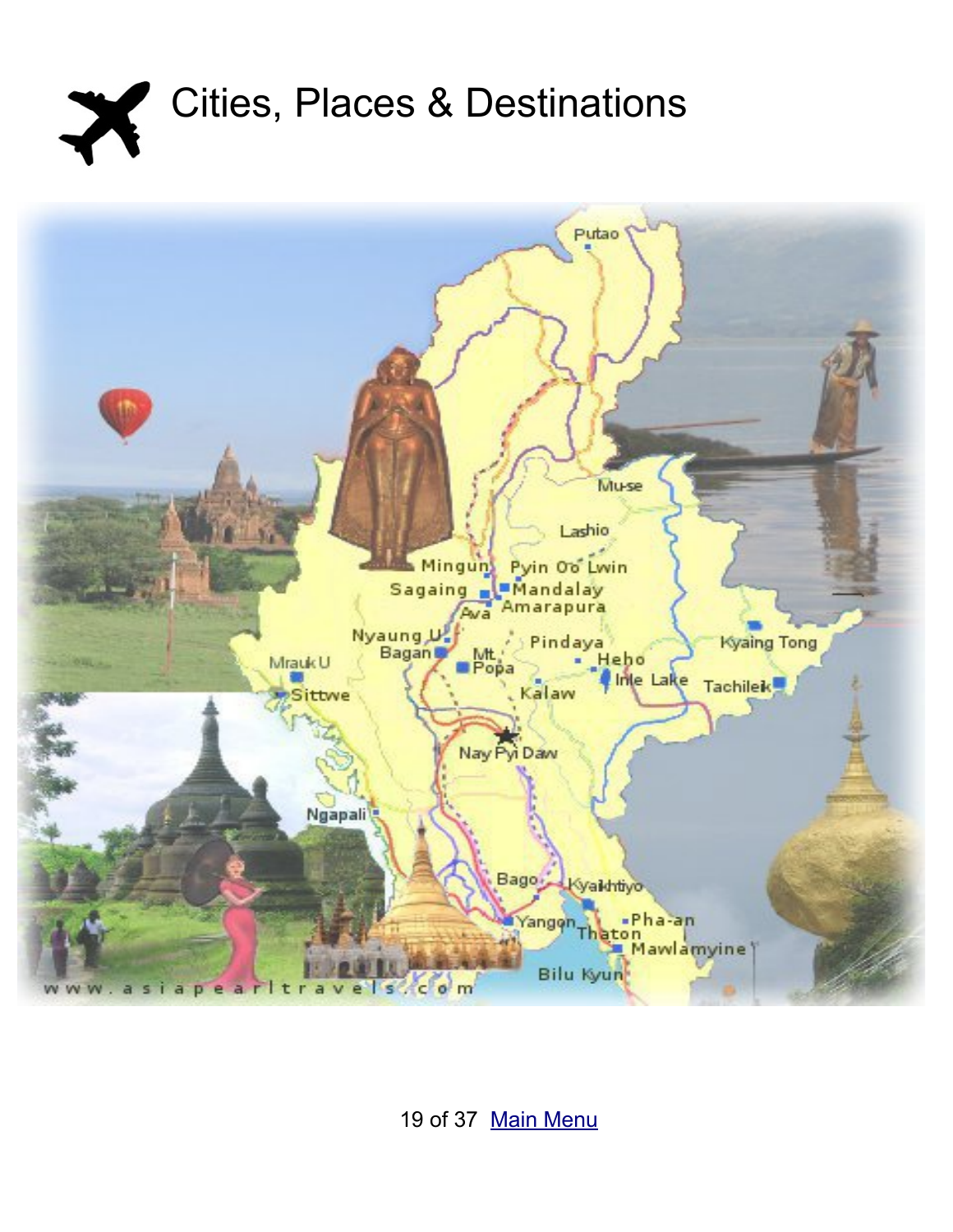<span id="page-18-0"></span>



19 of 37 [Main Menu](#page-1-0)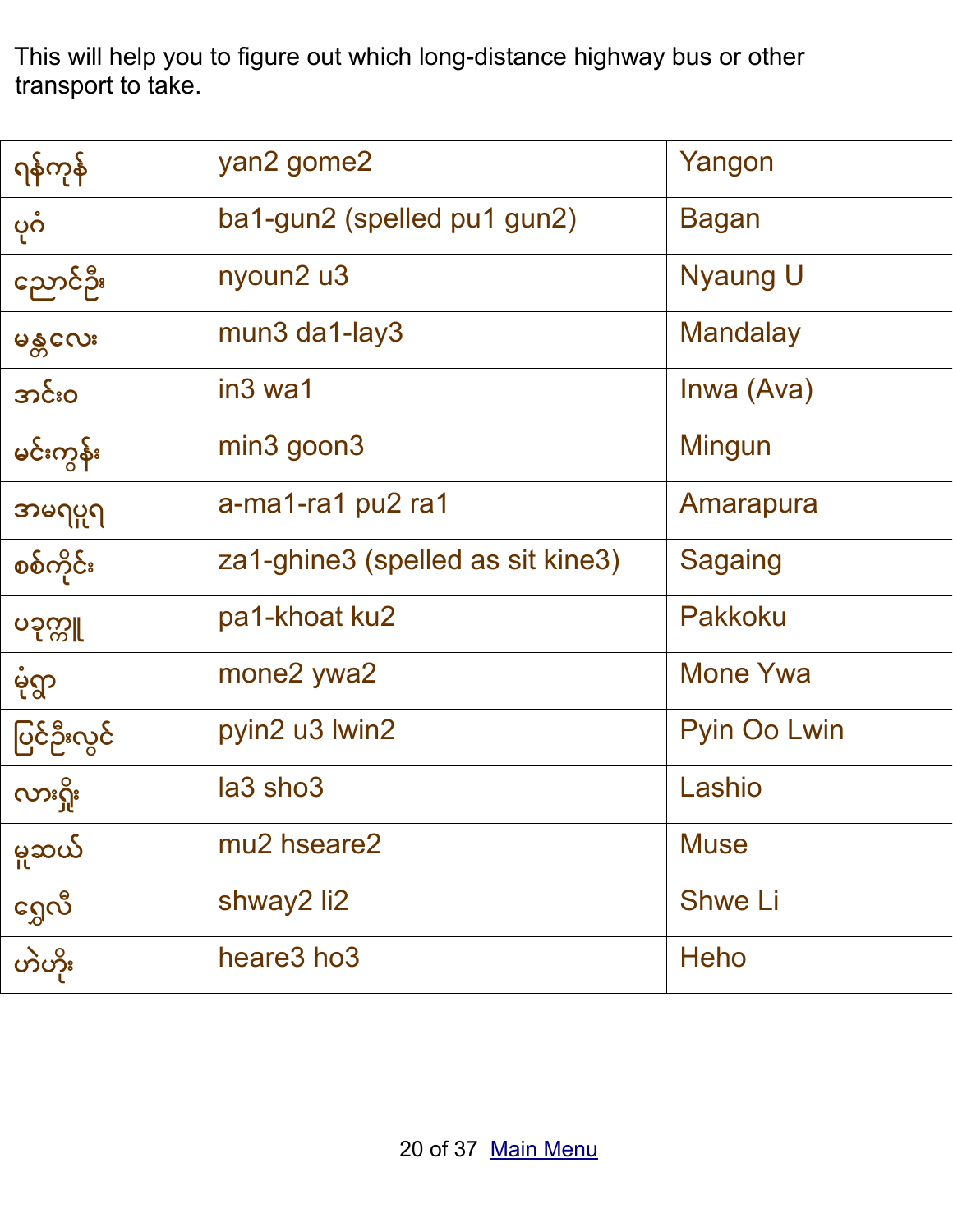This will help you to figure out which long-distance highway bus or other transport to take.

| <u> ဂုန်ကုန်</u> | yan2 gome2                        | Yangon          |
|------------------|-----------------------------------|-----------------|
| ပုဂံ             | ba1-gun2 (spelled pu1 gun2)       | <b>Bagan</b>    |
| ညောင်ဦး          | nyoun2 u3                         | <b>Nyaung U</b> |
| မန္တလေး          | $mun3$ da1-lay3                   | <b>Mandalay</b> |
| အင်းဝ            | in <sub>3</sub> wa1               | Inwa (Ava)      |
| မင်းကွန်း        | $min3$ goon $3$                   | Mingun          |
| အမရပူရ           | a-ma1-ra1 pu2 ra1                 | Amarapura       |
| စစ်ကိုင်း        | za1-ghine3 (spelled as sit kine3) | <b>Sagaing</b>  |
| ပခုက္ကူ          | pa1-khoat ku2                     | <b>Pakkoku</b>  |
| မုံရွာ           | mone2 ywa2                        | <b>Mone Ywa</b> |
| ပြင်ဦးလွင်       | pyin2 u3 lwin2                    | Pyin Oo Lwin    |
| လားရှိုး         | la3 sho3                          | Lashio          |
| မူဆယ်            | mu2 hseare2                       | <b>Muse</b>     |
| ဂ္ဘေလီ           | shway2 li2                        | <b>Shwe Li</b>  |
| တဲဟိုး           | heare3 ho3                        | <b>Heho</b>     |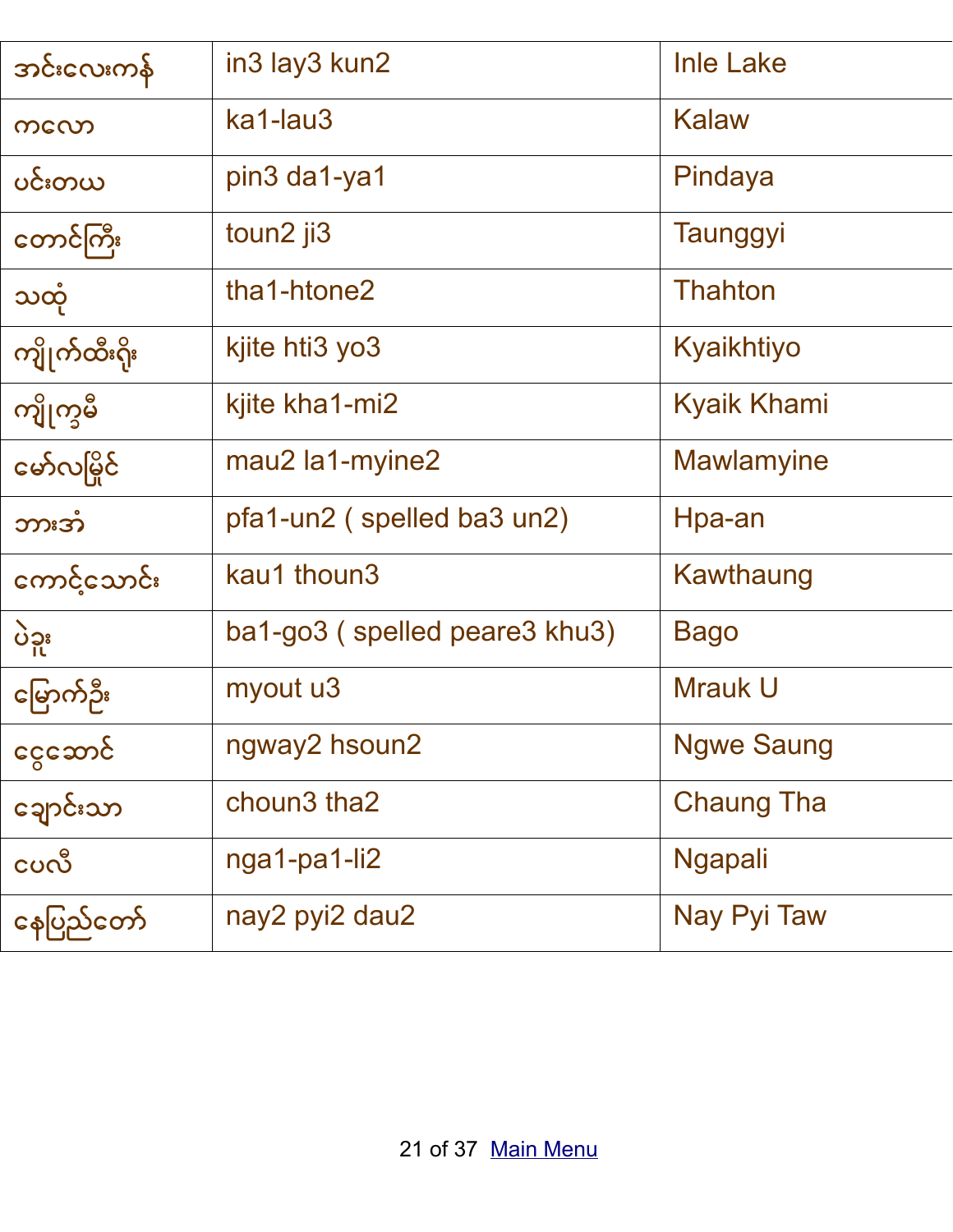| အင်းလေးကန်    | in3 lay3 kun2                 | <b>Inle Lake</b>   |
|---------------|-------------------------------|--------------------|
| ကလော          | ka1-lau3                      | <b>Kalaw</b>       |
| ပင်းတယ        | pin3 da1-ya1                  | Pindaya            |
| တောင်ကြီး     | toun2 ji3                     | Taunggyi           |
| သထုံ          | tha1-htone2                   | <b>Thahton</b>     |
| ကျိုက်ထီးရိုး | kjite hti3 yo3                | Kyaikhtiyo         |
| ကျိုက္ခမီ     | kjite kha1-mi2                | <b>Kyaik Khami</b> |
| မော်လမြိုင်   | mau2 la1-myine2               | <b>Mawlamyine</b>  |
| ဘားအံ         | pfa1-un2 (spelled ba3 un2)    | Hpa-an             |
| ကောင့်သောင်း  | kau1 thoun3                   | Kawthaung          |
| ပဲဒူး         | ba1-go3 (spelled peare3 khu3) | <b>Bago</b>        |
| မြောက်ဦး      | myout u3                      | <b>Mrauk U</b>     |
| ငွေသောင်      | ngway2 hsoun2                 | <b>Ngwe Saung</b>  |
| ချောင်းသာ     | choun3 tha2                   | <b>Chaung Tha</b>  |
| ငပလီ          | nga1-pa1-li2                  | <b>Ngapali</b>     |
| နေပြည်တော်    | nay2 pyi2 dau2                | Nay Pyi Taw        |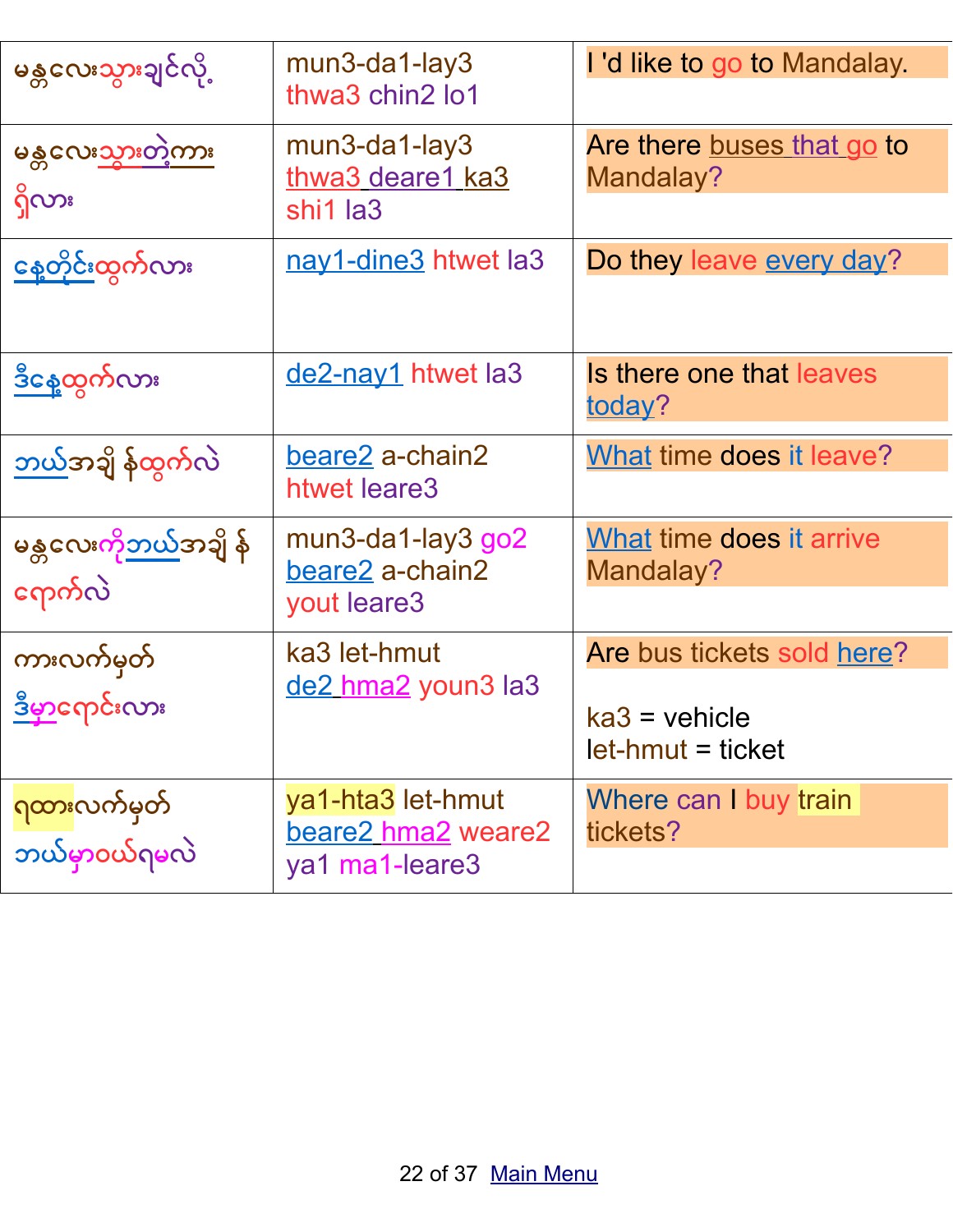| မန္တလေးသွားချင်လို့                        | mun3-da1-lay3<br>thwa3 chin2 lo1                             | I'd like to go to Mandalay.                                        |
|--------------------------------------------|--------------------------------------------------------------|--------------------------------------------------------------------|
| မန္တလေးသွားတဲ့ကား<br>ရှိလား                | $mun3$ -da1-lay3<br>thwa3 deare1 ka3<br>shi1 la3             | Are there buses that go to<br>Mandalay?                            |
| <u>နေ့တိုင်းထွ</u> က်လား                   | nay1-dine3 htwet la3                                         | Do they leave every day?                                           |
| <u>ဒီနေ့ထွ</u> က်လား                       | <u>de2-nay1</u> htwet la3                                    | Is there one that leaves<br><u>todav</u> ?                         |
| <u>ဘယ်</u> အချိ န်ထွက်လဲ                   | beare2 a-chain2<br>htwet leare3                              | What time does it leave?                                           |
| မန္တလေးကိ <u>ုဘယ်</u> အချိ န်<br>ကေက်လဲ    | $mun3$ -da1-lay $3$ go $2$<br>beare2 a-chain2<br>yout leare3 | What time does it arrive<br>Mandalay?                              |
| ကားလက်မှတ်<br>ဒီမှာရောင်းလား               | ka3 let-hmut<br>de2 hma2 youn3 la3                           | Are bus tickets sold here?<br>$ka3$ = vehicle<br>let-hmut = ticket |
| <mark>ရထား</mark> လက်မှတ်<br>ဘယ်မှာဝယ်ရမလဲ | ya1-hta3 let-hmut<br>beare2 hma2 weare2<br>ya1 ma1-leare3    | Where can I buy train<br>tickets?                                  |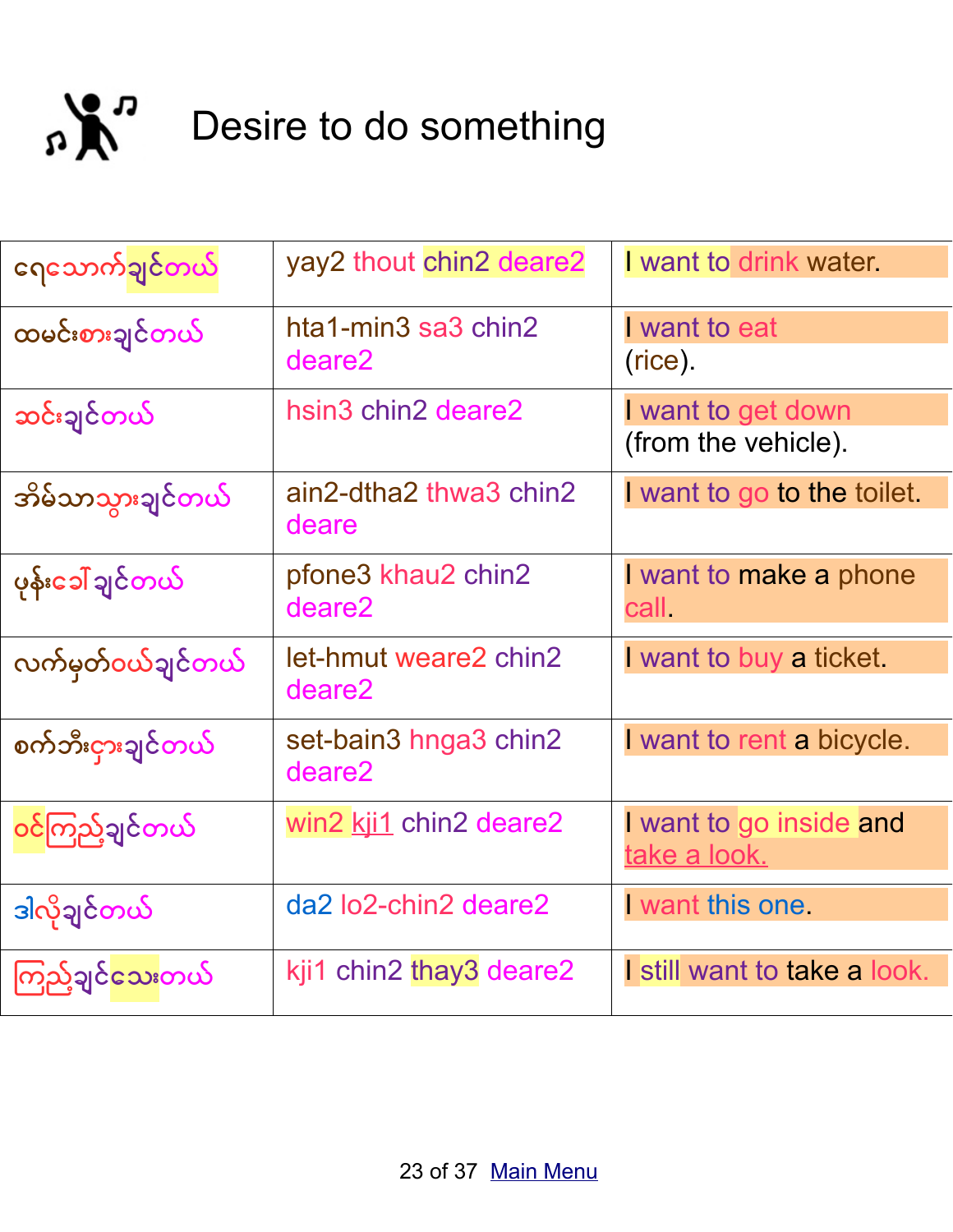<span id="page-22-0"></span>

| ဂေသောက်ချင်တယ်    | yay2 thout chin2 deare2         | I want to drink water.                         |
|-------------------|---------------------------------|------------------------------------------------|
| ထမင်းစားချင်တယ်   | hta1-min3 sa3 chin2<br>deare2   | I want to eat<br>(rice).                       |
| ဆင်းချင်တယ်       | hsin3 chin2 deare2              | I want to get down<br>(from the vehicle).      |
| အိမ်သာသွားချင်တယ် | ain2-dtha2 thwa3 chin2<br>deare | I want to go to the toilet.                    |
| ပုန်းခေါ် ချင်တယ် | pfone3 khau2 chin2<br>deare2    | I want to make a phone<br>call.                |
| လက်မှတ်ဝယ်ချင်တယ် | let-hmut weare2 chin2<br>deare2 | I want to buy a ticket.                        |
| စက်ဘီးငှားချင်တယ် | set-bain3 hnga3 chin2<br>deare2 | I want to rent a bicycle.                      |
| ဝင်ကြည့်ချင်တယ်   | win2 kji1 chin2 deare2          | I want to go inside and<br><u>take a look.</u> |
| ဒါလိုချင်တယ်      | da2 lo2-chin2 deare2            | want this one                                  |
| ကြည့်ချင်သေးတယ်   | kji1 chin2 thay3 deare2         | I still want to take a look.                   |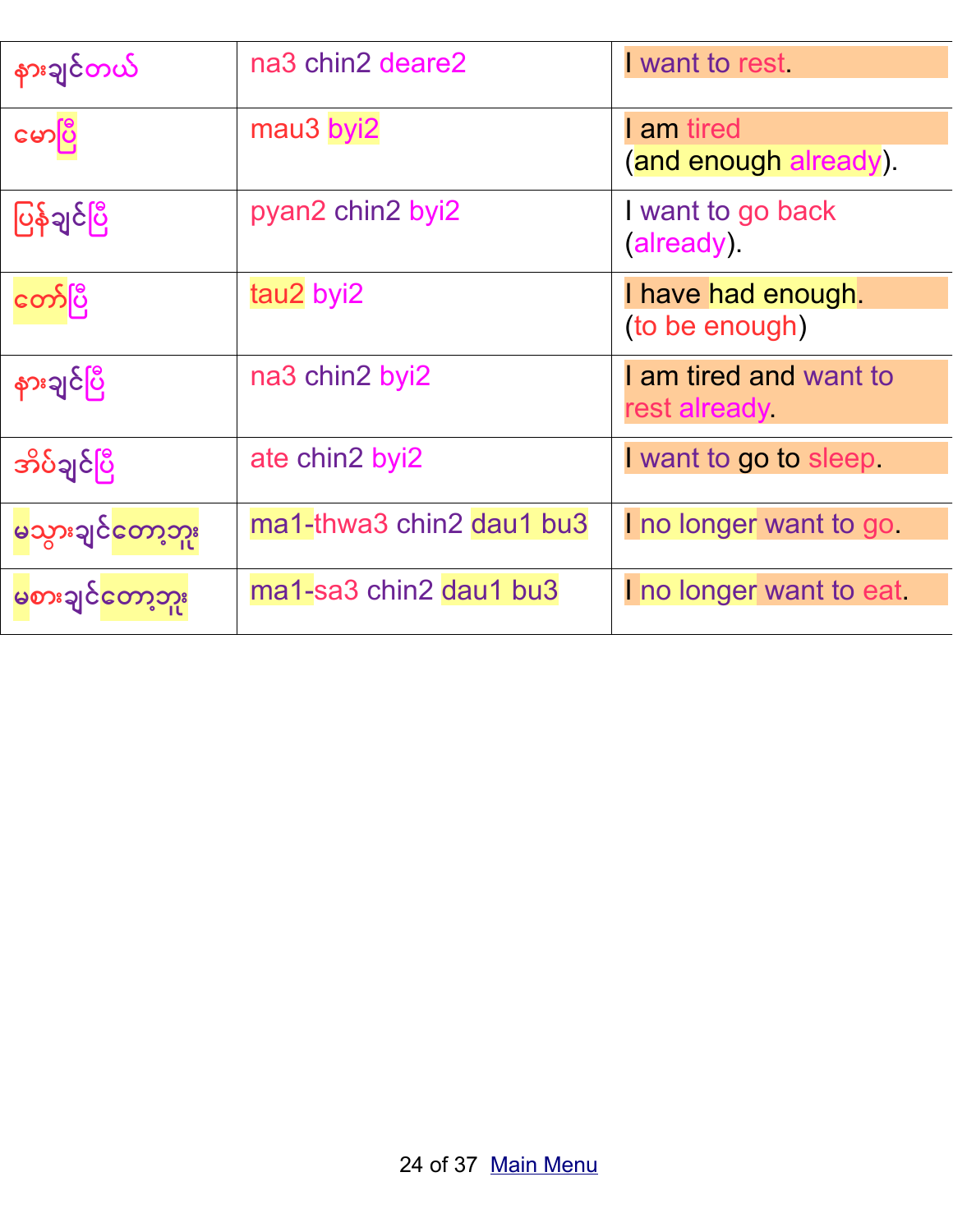| နားချင်တယ်          | na3 chin2 deare2         | I want to rest.                            |
|---------------------|--------------------------|--------------------------------------------|
| မောပြီ              | mau3 byi2                | <b>l</b> am tired<br>(and enough already). |
| ပြန်ချင်ပြီ         | pyan2 chin2 byi2         | I want to go back<br>(already).            |
| တော်ပြီ             | tau2 byi2                | I have had enough.<br>(to be enough)       |
| နားချင်ပြီ          | na3 chin2 byi2           | I am tired and want to<br>rest already     |
| <u> အိပ်ချင်ပြီ</u> | ate chin2 byi2           | I want to go to sleep                      |
| မသွားချင်တော့ဘူး    | ma1-thwa3 chin2 dau1 bu3 | I no longer want to go                     |
| မစားချင်တော့ဘူး     | ma1-sa3 chin2 dau1 bu3   | I no longer want to eat                    |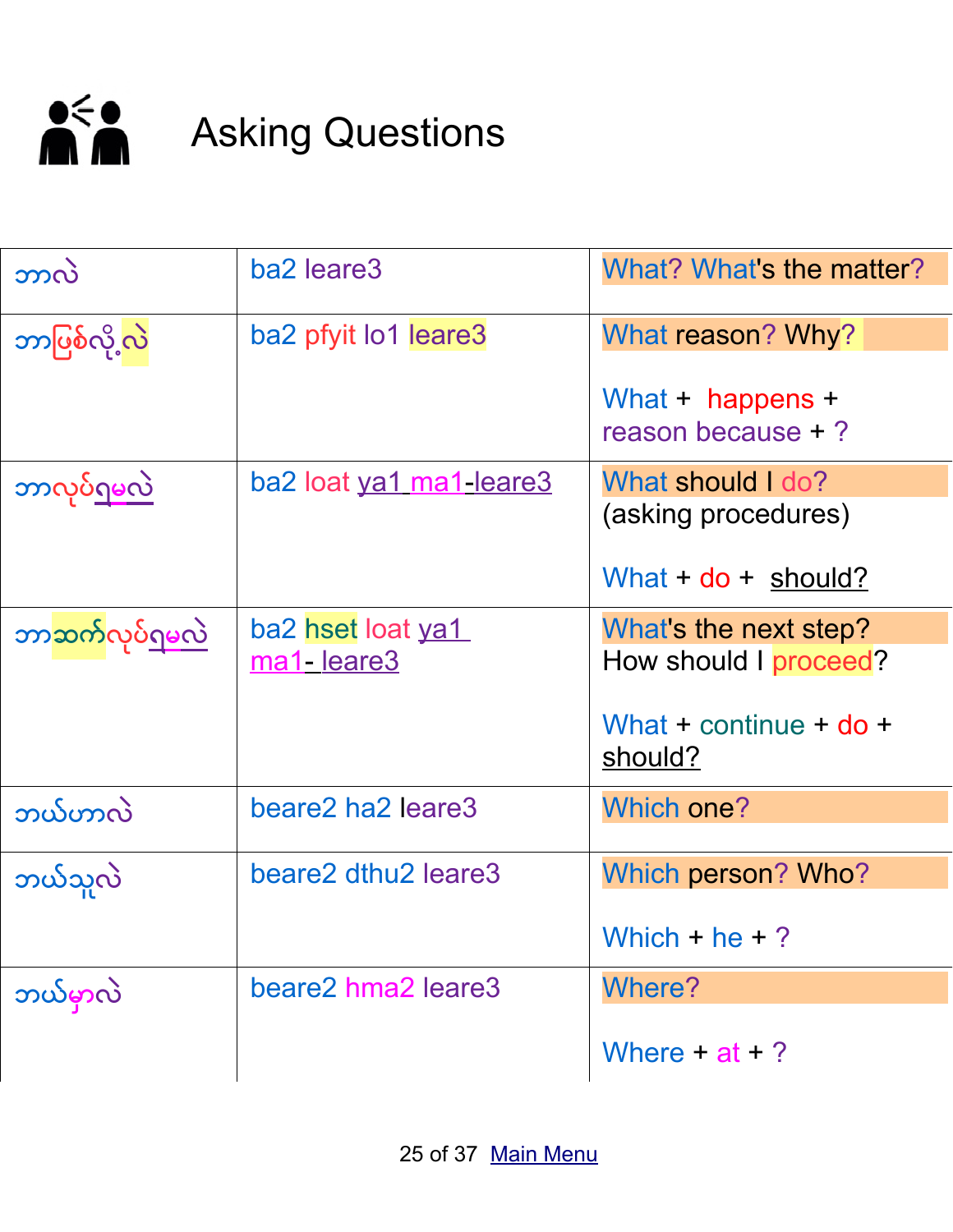

# <span id="page-24-0"></span>**Asking Questions**

| ဘာလဲ                               | ba2 leare3              | What? What's the matter?                     |
|------------------------------------|-------------------------|----------------------------------------------|
| ဘာပြစ်လို့လဲ                       | ba2 pfyit lo1 leare3    | What reason? Why?                            |
|                                    |                         | What $+$ happens $+$<br>reason because $+$ ? |
| <u>ဘာလုပ်ရမလဲ</u>                  | ba2 loat ya1 ma1-leare3 | What should I do?                            |
|                                    |                         | (asking procedures)                          |
|                                    |                         | What $+$ do $+$ should?                      |
| ဘာ <mark>ဆက်လုပ်<u>ရမလ</u>ဲ</mark> | ba2 hset loat ya1       | What's the next step?                        |
|                                    | ma1-leare3              | How should I proceed?                        |
|                                    |                         | What + continue + $do +$<br>should?          |
| ဘယ်ဟာလဲ                            | beare2 ha2 leare3       | <b>Which one?</b>                            |
|                                    |                         |                                              |
| ဘယ်သူလဲ                            | beare2 dthu2 leare3     | Which person? Who?                           |
|                                    |                         | Which $+$ he $+$ ?                           |
| ဘယ်မှာလဲ                           | beare2 hma2 leare3      | <b>Where?</b>                                |
|                                    |                         | Where $+ at + ?$                             |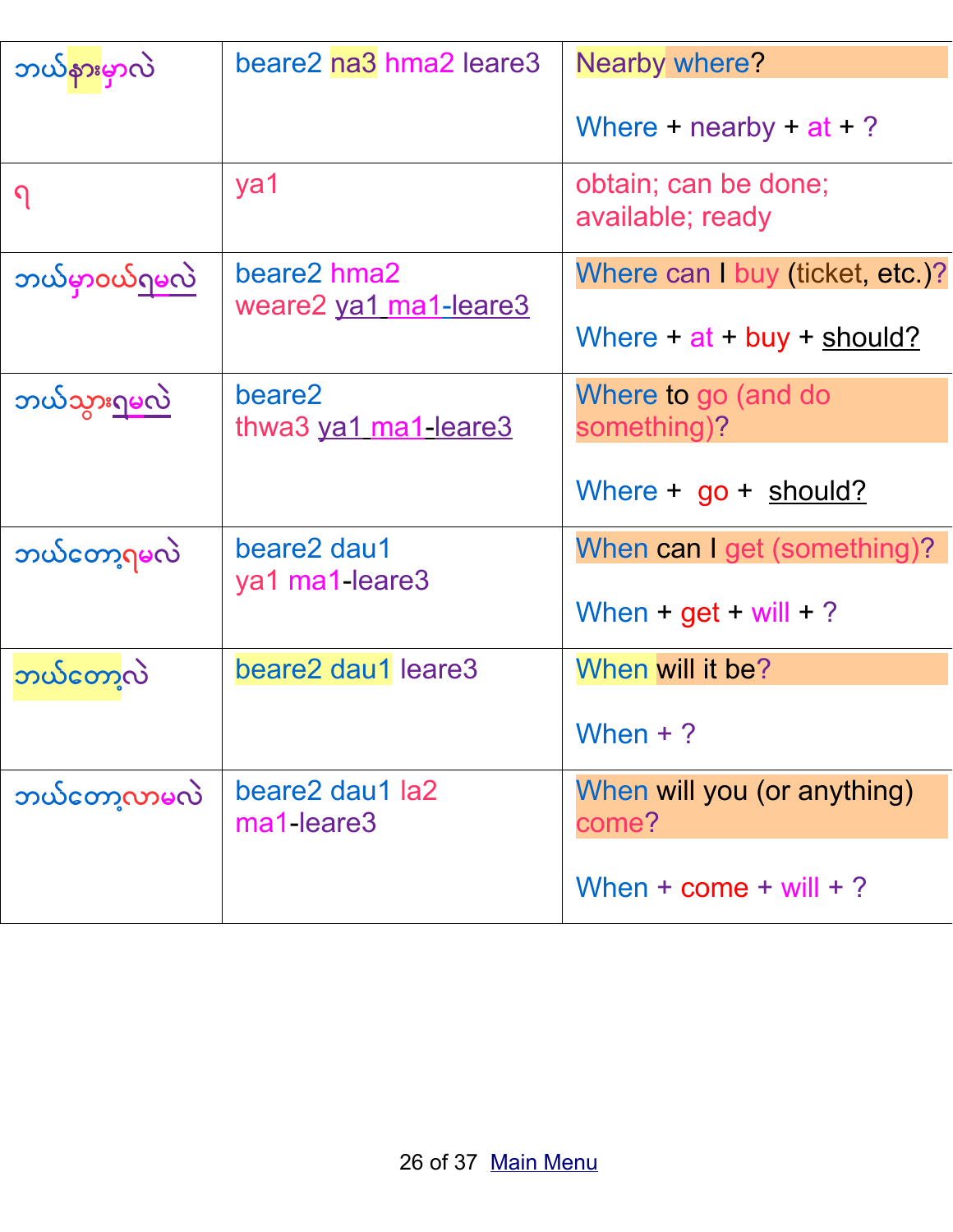| ဘယ်နားမှာလဲ          | beare2 na3 hma2 leare3         | Nearby where?                            |
|----------------------|--------------------------------|------------------------------------------|
|                      |                                | Where + nearby + $at + ?$                |
| $\Omega$             | ya1                            | obtain; can be done;<br>available; ready |
| <u>ဘယ်မှာ၀ယ်ရမလဲ</u> | beare2 hma2                    | Where can I buy (ticket, etc.)?          |
|                      | weare2 ya1 ma1-leare3          | Where $+$ at $+$ buy $+$ should?         |
| <u>ဘယ်သွားရမလဲ</u>   | beare2<br>thwa3 ya1 ma1-leare3 | Where to go (and do<br>something)?       |
|                      |                                | Where $+$ go $+$ should?                 |
| ဘယ်တော့ရမလဲ          | beare2 dau1                    | When can I get (something)?              |
|                      | ya1 ma1-leare3                 | When + $get + will + ?$                  |
| ဘယ်တော့လဲ            | beare2 dau1 leare3             | When will it be?                         |
|                      |                                | When $+$ ?                               |
| ဘယ်တော့လာမလဲ         | beare2 dau1 la2<br>ma1-leare3  | When will you (or anything)<br>come?     |
|                      |                                | When $+$ come $+$ will $+$ ?             |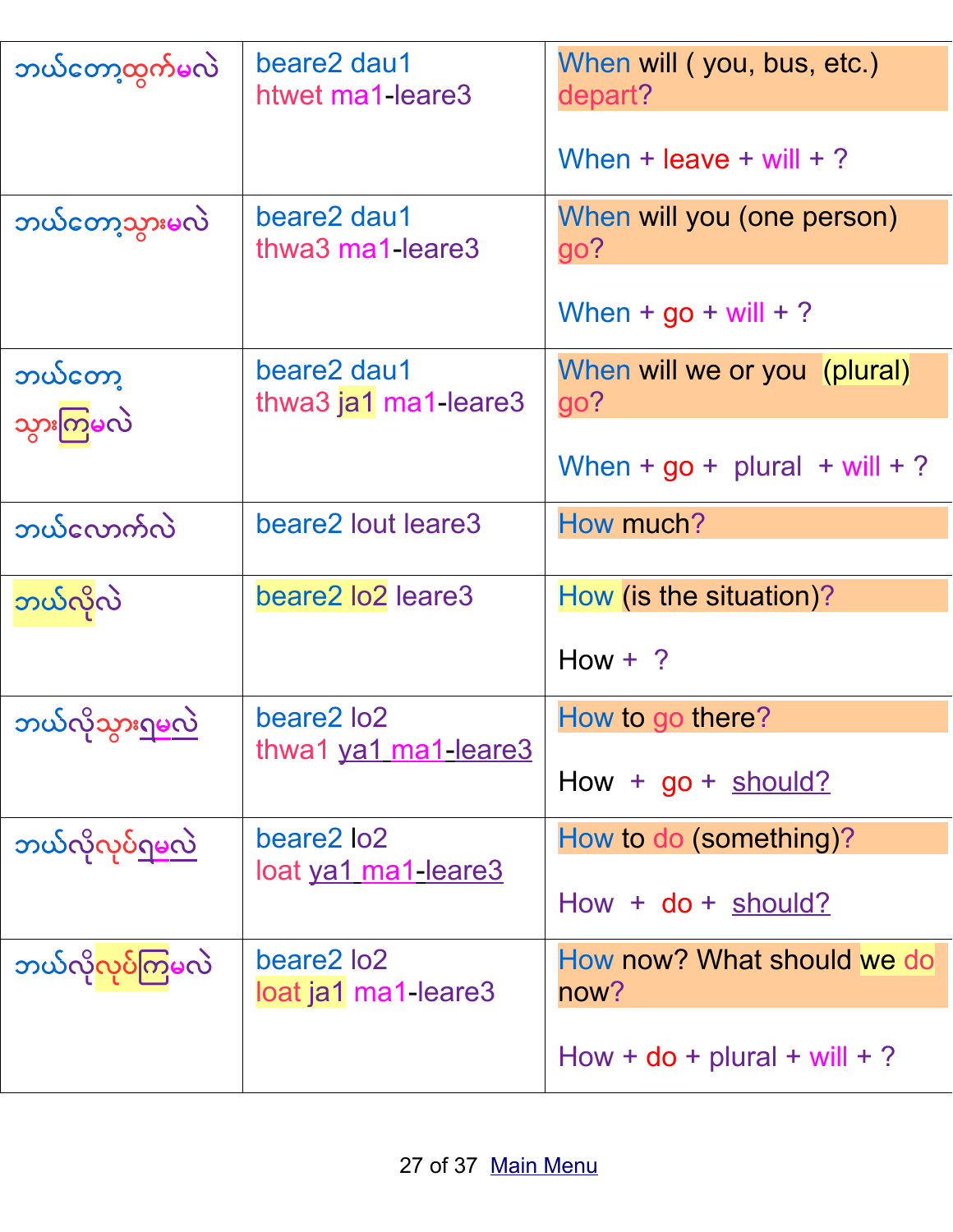| ဘယ်တော့ထွက်မလဲ                 | beare2 dau1<br>htwet ma1-leare3     | When will (you, bus, etc.)<br>depart? |
|--------------------------------|-------------------------------------|---------------------------------------|
|                                |                                     | When + leave + will + ?               |
| ဘယ်တော့သွားမလဲ                 | beare2 dau1<br>thwa3 ma1-leare3     | When will you (one person)<br>go?     |
|                                |                                     | When $+$ go $+$ will $+$ ?            |
| ဘယ်တော့                        | beare2 dau1<br>thwa3 ja1 ma1-leare3 | When will we or you (plural)<br>go?   |
| သွားကြမလဲ                      |                                     | When + $go + plural + will + ?$       |
| ဘယ်လောက်လဲ                     | beare2 lout leare3                  | How much?                             |
| ဘယ်လိုလဲ                       | beare2 lo2 leare3                   | How (is the situation)?               |
|                                |                                     | $How + ?$                             |
| ဘယ်လိုသွားရမလဲ                 | beare2 lo2                          | How to go there?                      |
|                                | thwa1 ya1 ma1-leare3                | $How + go + should?$                  |
| <u>ဘယ်လိုလုပ်ရမလဲ</u>          | beare2 lo2                          | How to do (something)?                |
|                                | <u>loat ya1 ma1-leare3</u>          | $How + do + should?$                  |
| ဘယ်လိ <mark>ုလုပ်ကြမ</mark> လဲ | beare2 lo2                          | How now? What should we do            |
|                                | loat ja1 ma1-leare3                 | now?                                  |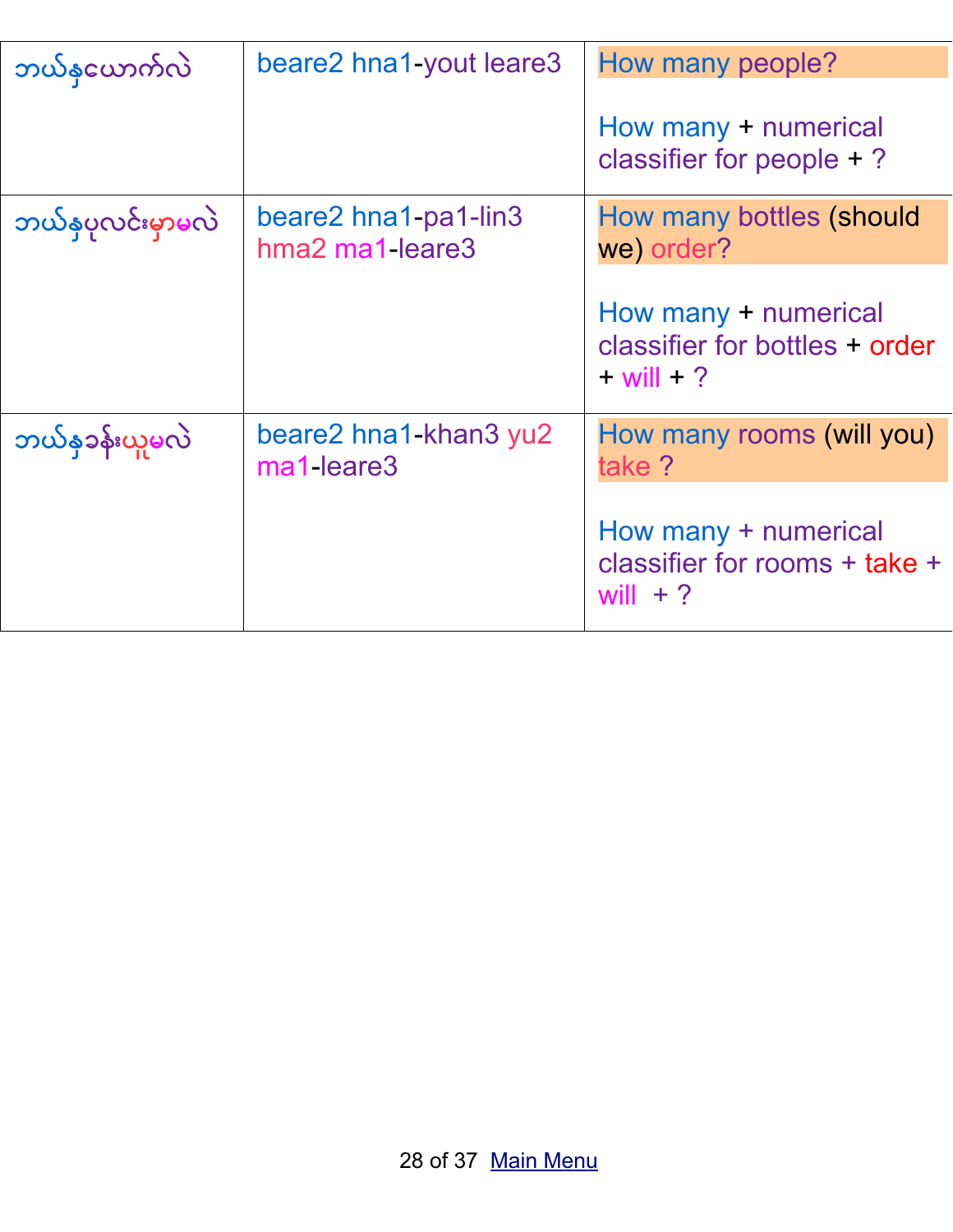| ဘယ်နယောက်လဲ      | beare2 hna1-yout leare3                 | How many people?                                                         |
|------------------|-----------------------------------------|--------------------------------------------------------------------------|
|                  |                                         | How many + numerical<br>classifier for people $+$ ?                      |
| ဘယ်နပုလင်းမှာမလဲ | beare2 hna1-pa1-lin3<br>hma2 ma1-leare3 | How many bottles (should<br>we order?                                    |
|                  |                                         | How many + numerical<br>classifier for bottles + order<br>$+$ will $+$ ? |
| ဘယ်န၁န်းယူမလဲ    | beare2 hna1-khan3 yu2<br>ma1-leare3     | How many rooms (will you)<br>take ?                                      |
|                  |                                         | How many + numerical<br>classifier for rooms + take +<br>will $+$ ?      |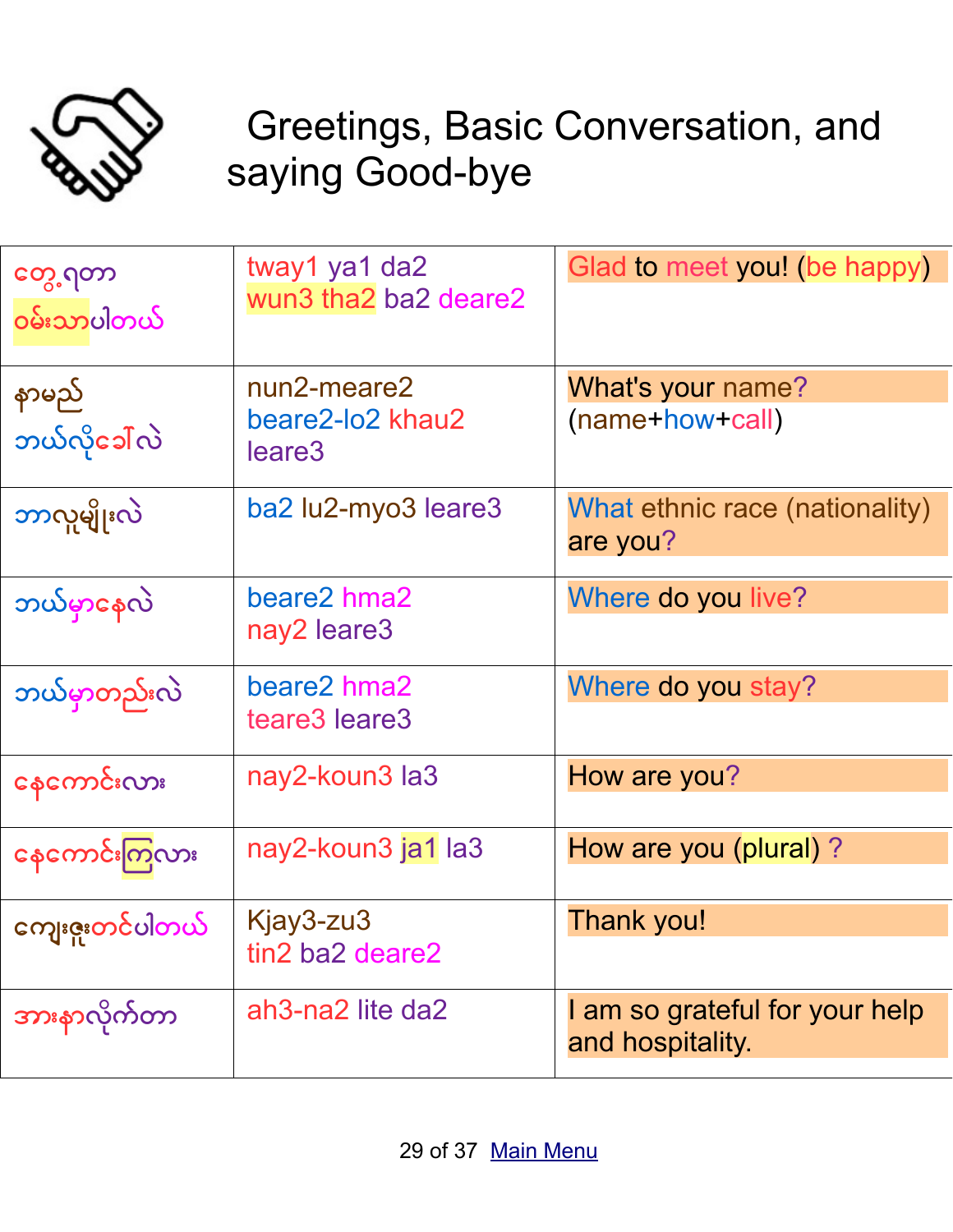

## <span id="page-28-0"></span>Greetings, Basic Conversation, and saying Good-bye

| တွေ့ ဂုတာ<br>ဝမ်းသာပါတယ် | tway1 ya1 da2<br>wun3 tha2 ba2 deare2 | Glad to meet you! (be happy)                       |
|--------------------------|---------------------------------------|----------------------------------------------------|
| နာမည်                    | nun2-meare2                           | What's your name?                                  |
| ဘယ်လိုခေါ်လဲ             | beare2-lo2 khau2<br>leare3            | (name+how+call)                                    |
| ဘာလူမျိုးလဲ              | ba2 lu2-myo3 leare3                   | What ethnic race (nationality)<br>are you?         |
| ဘယ်မှာနေလဲ               | beare2 hma2                           | Where do you live?                                 |
|                          | nay2 leare3                           |                                                    |
| ဘယ်မှာတည်းလဲ             | beare2 hma2                           | Where do you stay?                                 |
|                          | teare3 leare3                         |                                                    |
| နေကောင်းလား              | nay2-koun3 la3                        | How are you?                                       |
|                          |                                       |                                                    |
| နေကောင်းကြလား            | nay2-koun3 ja1 la3                    | How are you (plural)?                              |
| ကျေးဇူးတင်ပါတယ်          | Kjay3-zu3                             | Thank you!                                         |
| ו ד                      | tin2 ba2 deare2                       |                                                    |
| အားနာလိုက်တာ             | ah3-na2 lite da2                      | I am so grateful for your help<br>and hospitality. |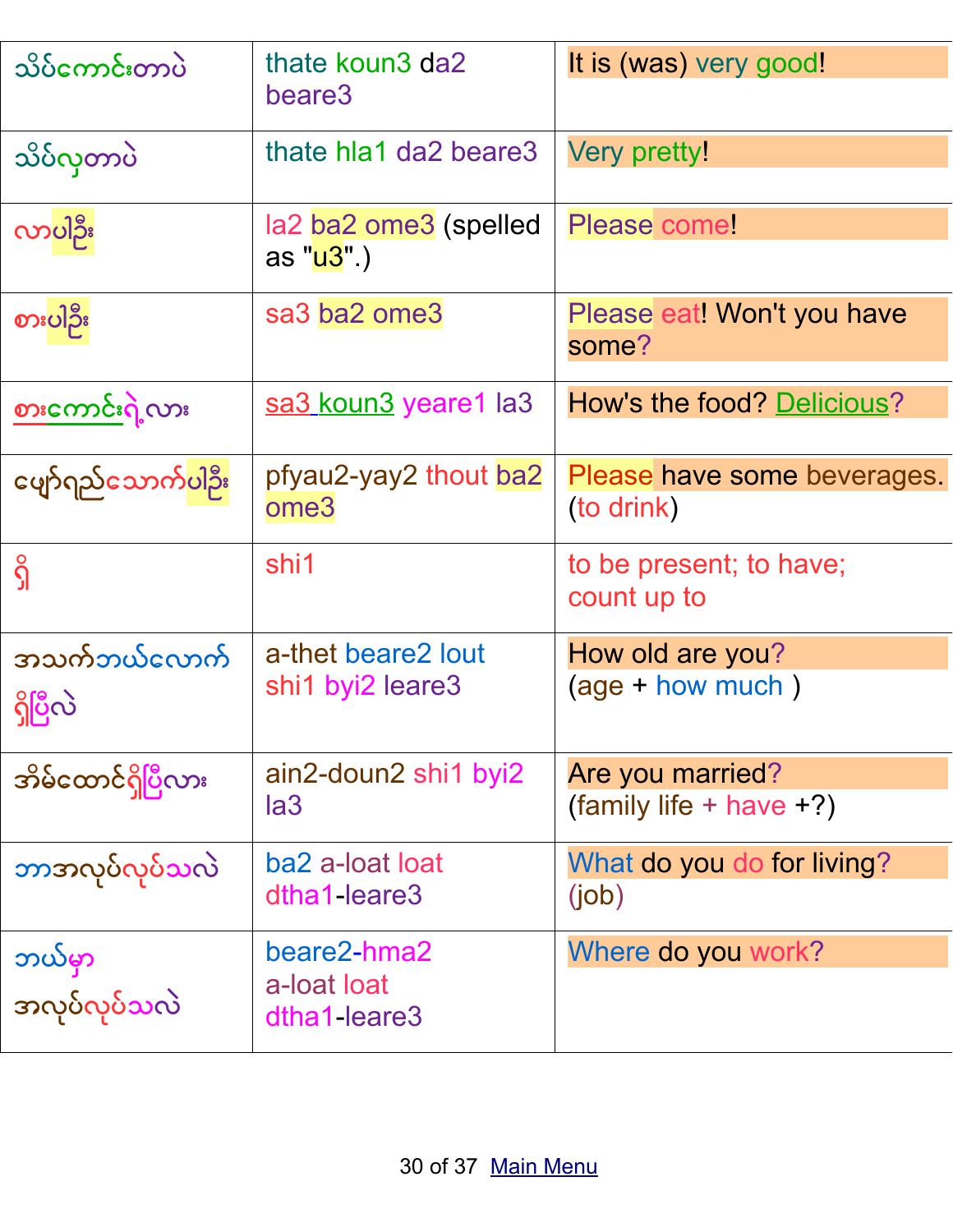| သိပ်ကောင်းတာပဲ                   | thate koun3 da2<br>beare3                  | It is (was) very good!                      |
|----------------------------------|--------------------------------------------|---------------------------------------------|
| သိပ်လှတာပဲ                       | thate hia1 da2 beare3                      | Very pretty!                                |
| လာပါဦး                           | la2 ba2 ome3 (spelled<br>as "u3".)         | Please come!                                |
| စားပါဦး                          | sa3 ba2 ome3                               | Please eat! Won't you have<br>some?         |
| စားကောင်းရဲ့လား                  | sa3 koun3 yeare1 la3                       | How's the food? Delicious?                  |
| ဖျော်ရည်သောက် <mark>ပါ</mark> ဦး | pfyau2-yay2 thout ba2<br>ome3              | Please have some beverages.<br>(to drink)   |
| $\hat{\Omega}$                   | shi1                                       | to be present; to have;<br>count up to      |
| အသက်ဘယ်လောက်<br>ရှိပြီလဲ         | a-thet beare2 lout<br>shi1 byi2 leare3     | How old are you?<br>$(age + how much)$      |
| အိမ်ထောင်ရှိပြီလား               | ain2-doun2 shi1 byi2<br>la3                | Are you married?<br>(family life + have +?) |
| ဘာအလုပ်လုပ်သလဲ                   | ba2 a-loat loat<br>dtha1-leare3            | What do you do for living?<br>(iob)         |
| ဘယ်မှာ<br>အလုပ်လုပ်သလဲ           | beare2-hma2<br>a-loat loat<br>dtha1-leare3 | Where do you work?                          |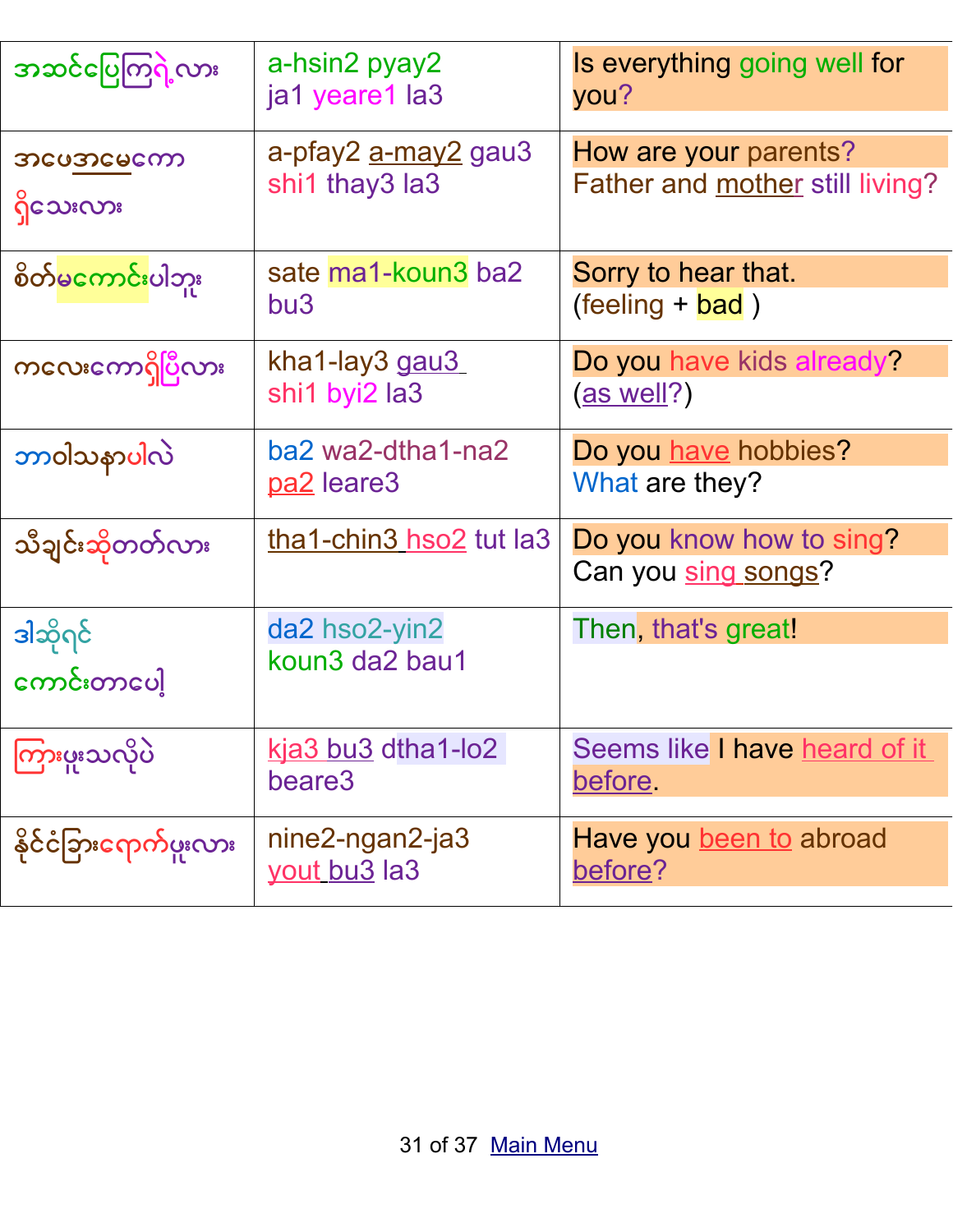| အဆင်ပြေကြရဲ့လား                 | a-hsin2 pyay2<br>ja1 yeare1 la3              | Is everything going well for<br>you?                     |
|---------------------------------|----------------------------------------------|----------------------------------------------------------|
| သင္မေတာင္ၿမင္မေကာ<br>ရှိသေးလား  | a-pfay2 <u>a-may2</u> gau3<br>shi1 thay3 la3 | How are your parents?<br>Father and mother still living? |
| စိတ် <mark>မကောင်း</mark> ပါဘူး | sate ma1-koun3 ba2<br>bu3                    | Sorry to hear that.<br>$(\text{feeling} + \text{bad})$   |
| ကလေးကောရှိပြီလား                | kha1-lay3 gau3<br>shi1 byi2 la3              | Do you have kids already?<br>(as well?)                  |
| ဘာ၀ါသနာပါလဲ                     | ba2 wa2-dtha1-na2<br>pa2 leare3              | Do you have hobbies?<br>What are they?                   |
| သီချင်းဆိုတတ်လား                | tha1-chin3 hso2 tut la3                      | Do you know how to sing?<br>Can you sing songs?          |
| ဒါဆိုရင်<br>ကောင်းတာပေါ့        | da2 hso2-yin2<br>koun3 da2 bau1              | Then, that's great!                                      |
| ကြားပူးသလိုပဲ                   | <u>kja3 bu3</u> dtha1-lo2<br>beare3          | Seems like I have heard of it<br>before.                 |
| နိုင်ငံခြားရောက်ဖူးလား          | nine2-ngan2-ja3<br>yout bu <sub>3</sub> la3  | Have you been to abroad<br>before?                       |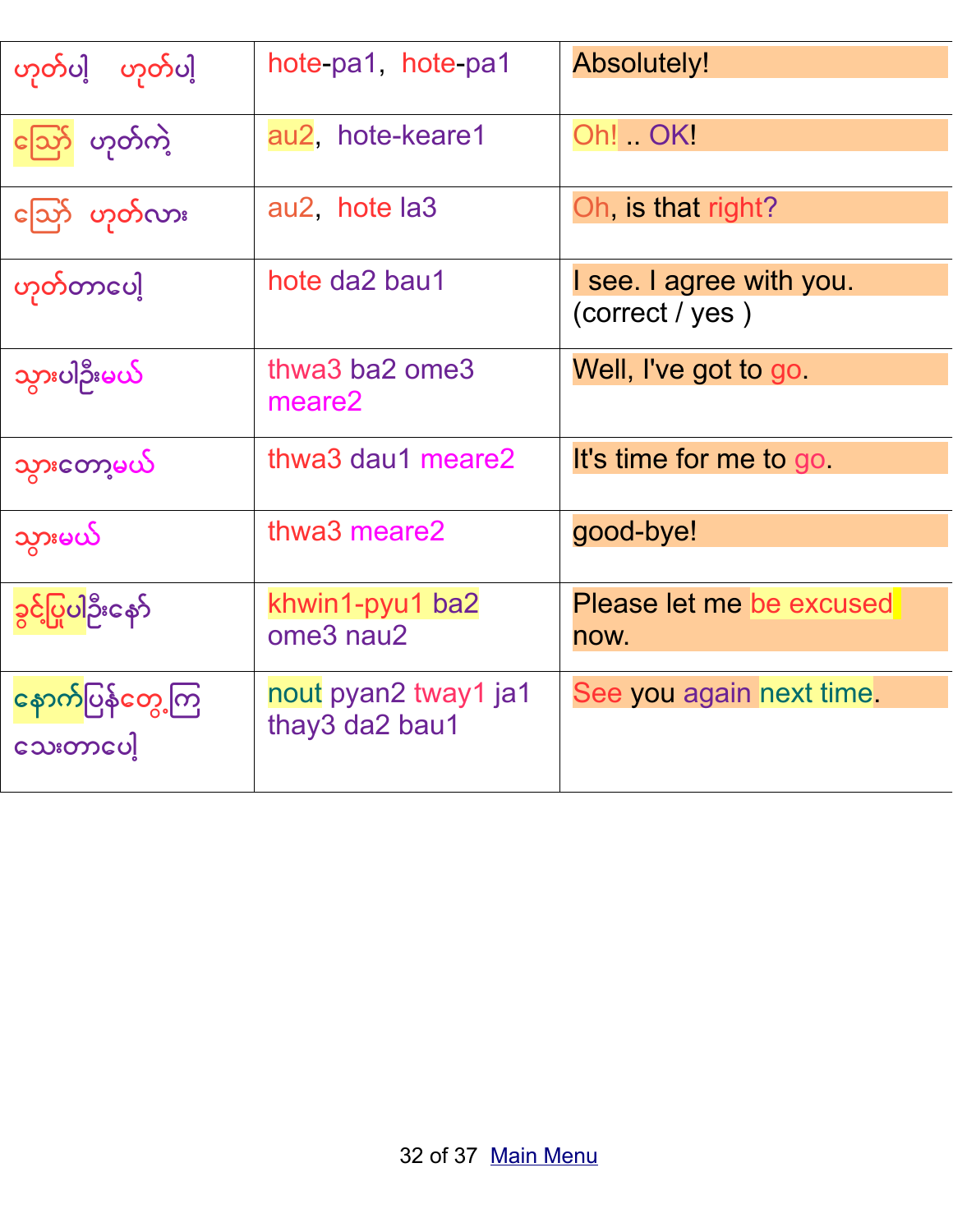| က်လှုဂျံ က်လှုဂျံ            | hote-pa1, hote-pa1                     | <b>Absolutely!</b>                          |
|------------------------------|----------------------------------------|---------------------------------------------|
| ညော် ဟုတ်ကဲ့                 | au2, hote-keare1                       | Oh! OK!                                     |
| ညြော် ဟုတ်လား                | au2, hote la3                          | Oh, is that right?                          |
| ဟုတ်တာပေါ့                   | hote da2 bau1                          | I see. I agree with you.<br>(correct / yes) |
| သွားပါဦးမယ်                  | thwa3 ba2 ome3<br>meare2               | Well, I've got to go                        |
| သွားတော့မယ်                  | thwa3 dau1 meare2                      | It's time for me to go                      |
| သွားမယ်                      | thwa3 meare2                           | good-bye!                                   |
| ခွင့်ပြုပါဦးနော်             | khwin1-pyu1 ba2<br>ome3 nau2           | Please let me be excused<br>now.            |
| နောက်ပြန်တွေ့ကြ<br>သေးတာပေါ့ | nout pyan2 tway1 ja1<br>thay3 da2 bau1 | See you again next time.                    |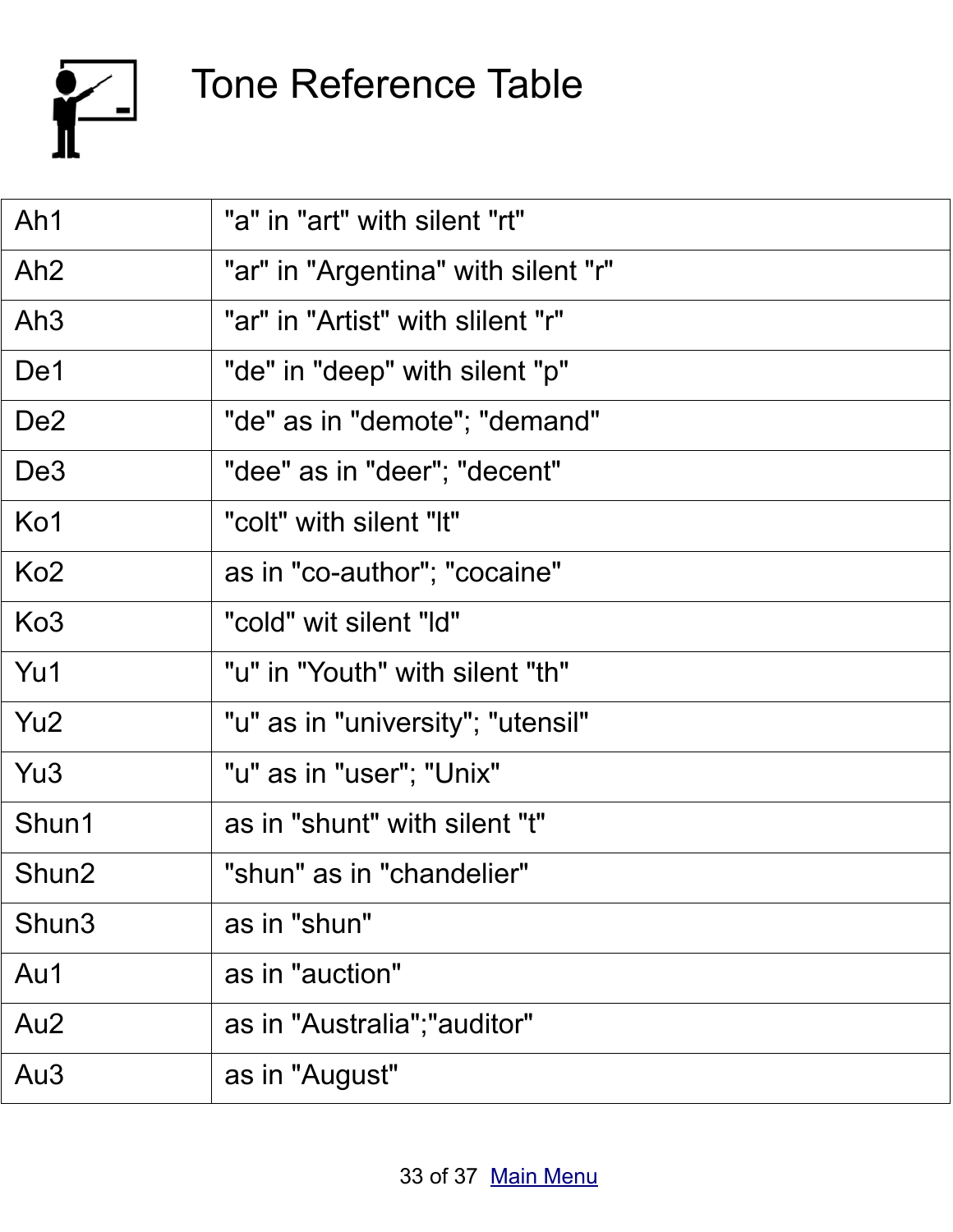

### <span id="page-32-0"></span>Tone Reference Table

| Ah1             | "a" in "art" with silent "rt"       |
|-----------------|-------------------------------------|
| Ah <sub>2</sub> | "ar" in "Argentina" with silent "r" |
| Ah <sub>3</sub> | "ar" in "Artist" with slilent "r"   |
| De1             | "de" in "deep" with silent "p"      |
| De <sub>2</sub> | "de" as in "demote"; "demand"       |
| De <sub>3</sub> | "dee" as in "deer"; "decent"        |
| Ko1             | "colt" with silent "It"             |
| Ko <sub>2</sub> | as in "co-author"; "cocaine"        |
| Ko <sub>3</sub> | "cold" wit silent "ld"              |
| Yu1             | "u" in "Youth" with silent "th"     |
| Yu <sub>2</sub> | "u" as in "university"; "utensil"   |
| Yu <sub>3</sub> | "u" as in "user"; "Unix"            |
| Shun1           | as in "shunt" with silent "t"       |
| Shun2           | "shun" as in "chandelier"           |
| Shun3           | as in "shun"                        |
| Au1             | as in "auction"                     |
| Au <sub>2</sub> | as in "Australia"; "auditor"        |
| Au <sub>3</sub> | as in "August"                      |
|                 |                                     |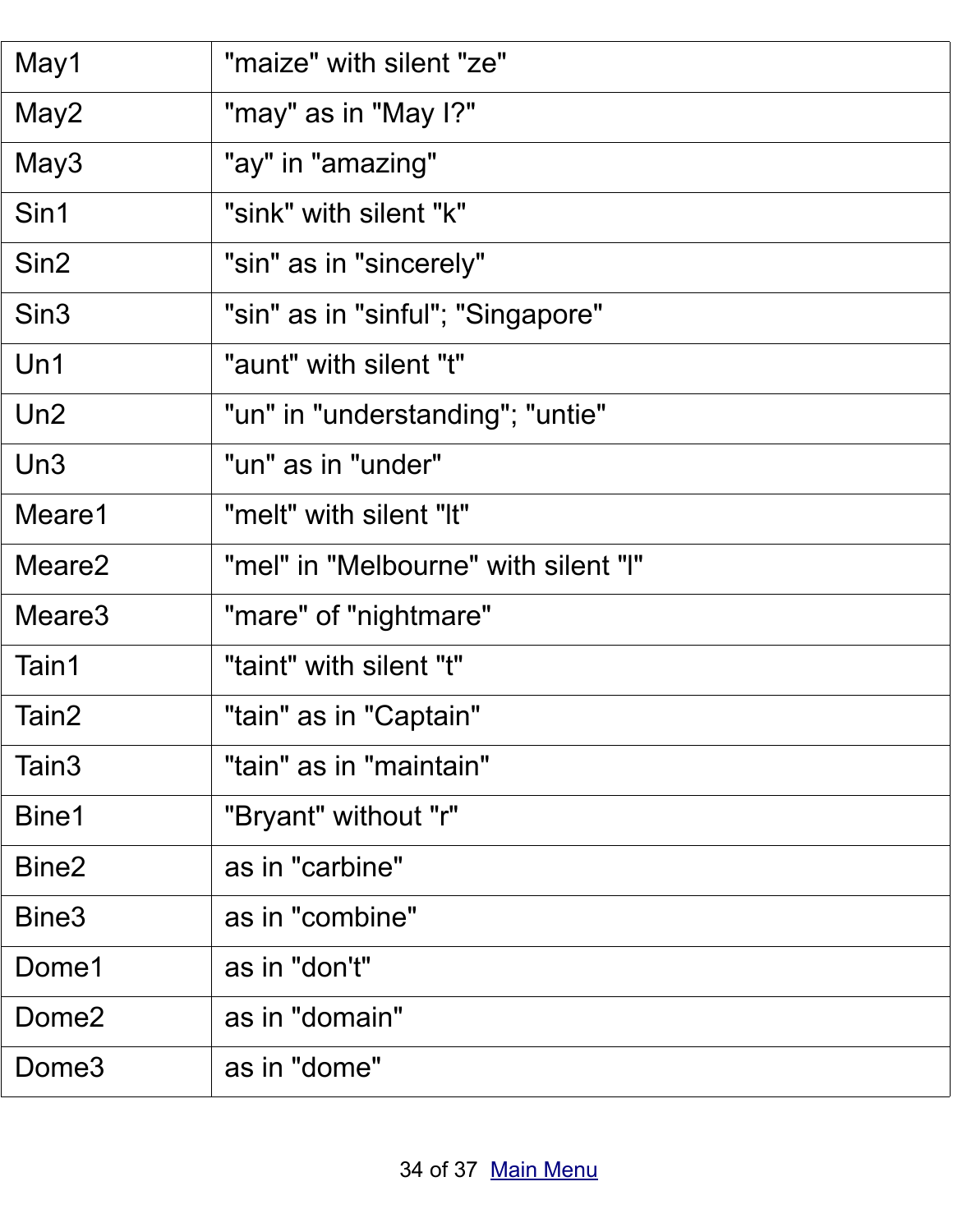| May1               | "maize" with silent "ze"             |
|--------------------|--------------------------------------|
| May2               | "may" as in "May I?"                 |
| May3               | "ay" in "amazing"                    |
| Sin1               | "sink" with silent "k"               |
| Sin <sub>2</sub>   | "sin" as in "sincerely"              |
| Sin <sub>3</sub>   | "sin" as in "sinful"; "Singapore"    |
| Un1                | "aunt" with silent "t"               |
| Un2                | "un" in "understanding"; "untie"     |
| Un3                | "un" as in "under"                   |
| Meare1             | "melt" with silent "It"              |
| Meare <sub>2</sub> | "mel" in "Melbourne" with silent "I" |
| Meare3             | "mare" of "nightmare"                |
| Tain1              | "taint" with silent "t"              |
| Tain2              | "tain" as in "Captain"               |
| Tain <sub>3</sub>  | "tain" as in "maintain"              |
| Bine1              | "Bryant" without "r"                 |
| Bine <sub>2</sub>  | as in "carbine"                      |
| Bine3              | as in "combine"                      |
| Dome1              | as in "don't"                        |
| Dome <sub>2</sub>  | as in "domain"                       |
| Dome <sub>3</sub>  | as in "dome"                         |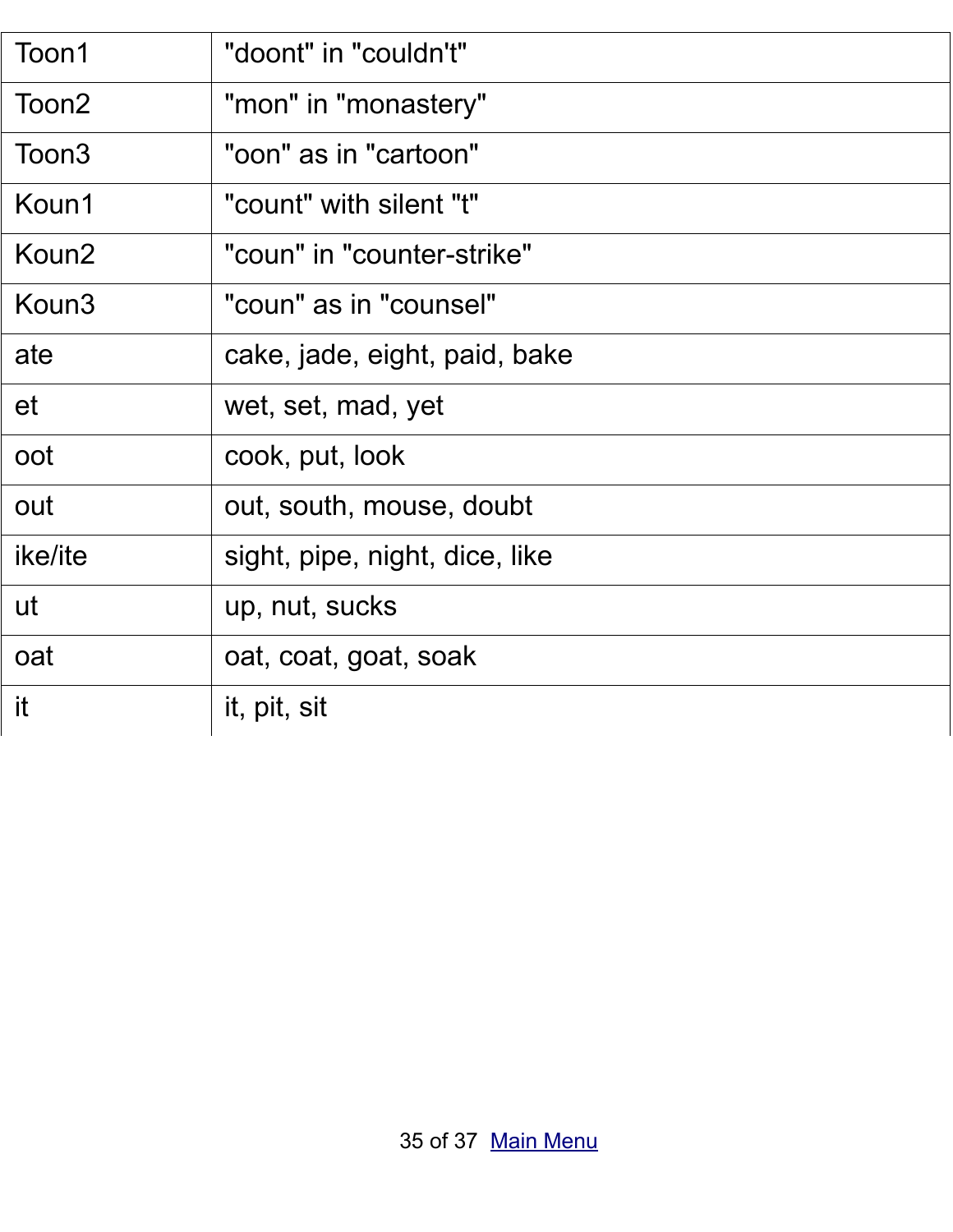| Toon1             | "doont" in "couldn't"          |
|-------------------|--------------------------------|
| Toon2             | "mon" in "monastery"           |
| Toon <sub>3</sub> | "oon" as in "cartoon"          |
| Koun1             | "count" with silent "t"        |
| Koun <sub>2</sub> | "coun" in "counter-strike"     |
| Koun3             | "coun" as in "counsel"         |
| ate               | cake, jade, eight, paid, bake  |
| et                | wet, set, mad, yet             |
| oot               | cook, put, look                |
| out               | out, south, mouse, doubt       |
| ike/ite           | sight, pipe, night, dice, like |
| ut                | up, nut, sucks                 |
| oat               | oat, coat, goat, soak          |
| it                | it, pit, sit                   |
|                   |                                |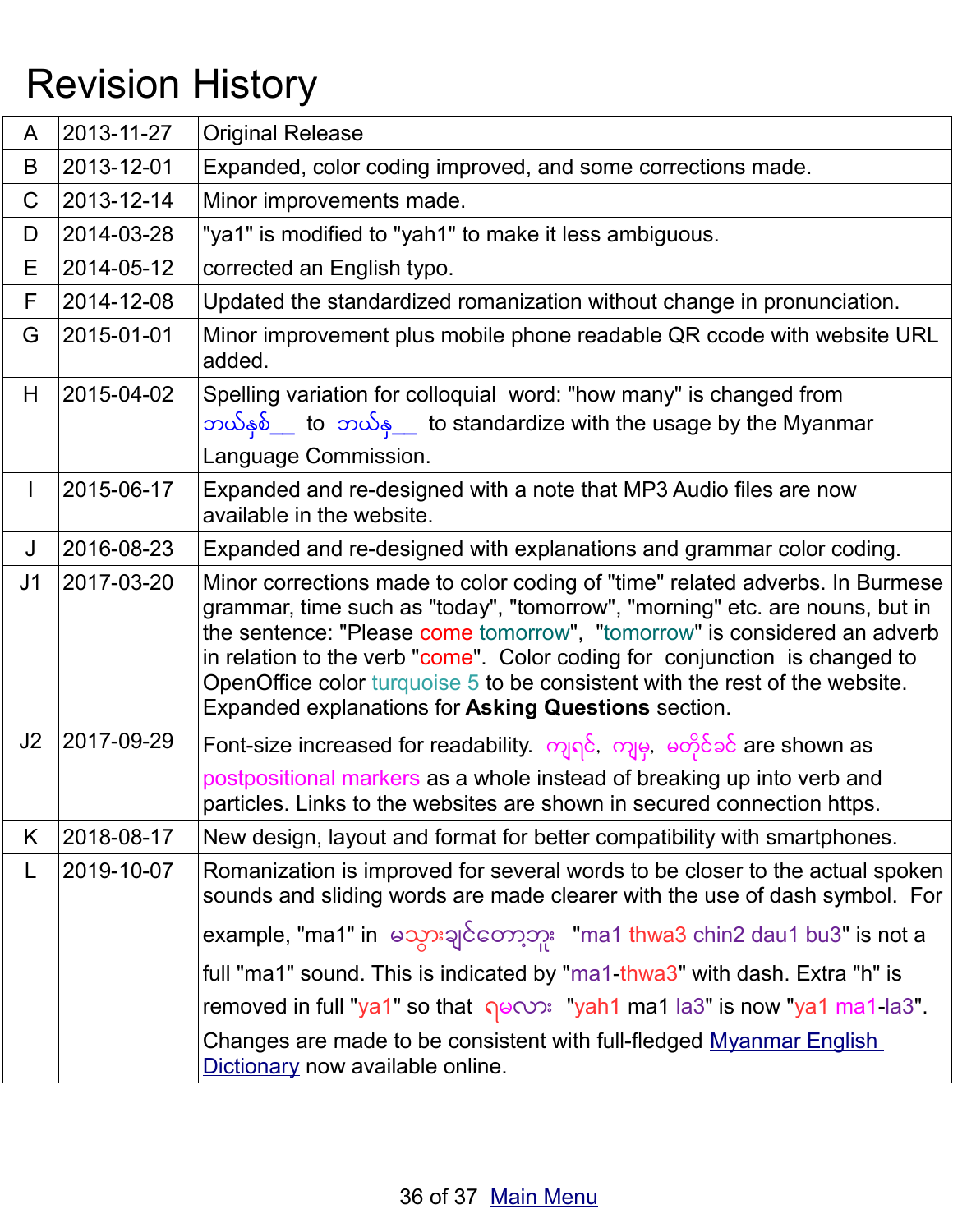# Revision History

| A              | 2013-11-27 | <b>Original Release</b>                                                                                                                                                                                                                                                                                                                                                                                                                                     |
|----------------|------------|-------------------------------------------------------------------------------------------------------------------------------------------------------------------------------------------------------------------------------------------------------------------------------------------------------------------------------------------------------------------------------------------------------------------------------------------------------------|
| B              | 2013-12-01 | Expanded, color coding improved, and some corrections made.                                                                                                                                                                                                                                                                                                                                                                                                 |
| $\mathsf C$    | 2013-12-14 | Minor improvements made.                                                                                                                                                                                                                                                                                                                                                                                                                                    |
| D              | 2014-03-28 | "ya1" is modified to "yah1" to make it less ambiguous.                                                                                                                                                                                                                                                                                                                                                                                                      |
| Е              | 2014-05-12 | corrected an English typo.                                                                                                                                                                                                                                                                                                                                                                                                                                  |
| F              | 2014-12-08 | Updated the standardized romanization without change in pronunciation.                                                                                                                                                                                                                                                                                                                                                                                      |
| G              | 2015-01-01 | Minor improvement plus mobile phone readable QR ccode with website URL<br>added.                                                                                                                                                                                                                                                                                                                                                                            |
| H              | 2015-04-02 | Spelling variation for colloquial word: "how many" is changed from<br>ဘယ်နှစ် to ဘယ်န to standardize with the usage by the Myanmar<br>Language Commission.                                                                                                                                                                                                                                                                                                  |
| $\mathbf{I}$   | 2015-06-17 | Expanded and re-designed with a note that MP3 Audio files are now<br>available in the website.                                                                                                                                                                                                                                                                                                                                                              |
| J              | 2016-08-23 | Expanded and re-designed with explanations and grammar color coding.                                                                                                                                                                                                                                                                                                                                                                                        |
| J <sub>1</sub> | 2017-03-20 | Minor corrections made to color coding of "time" related adverbs. In Burmese<br>grammar, time such as "today", "tomorrow", "morning" etc. are nouns, but in<br>the sentence: "Please come tomorrow", "tomorrow" is considered an adverb<br>in relation to the verb "come". Color coding for conjunction is changed to<br>OpenOffice color turquoise 5 to be consistent with the rest of the website.<br>Expanded explanations for Asking Questions section. |
| J2             | 2017-09-29 | Font-size increased for readability. ကျရင်, ကျမှ, မတိုင်ခင် are shown as                                                                                                                                                                                                                                                                                                                                                                                    |
|                |            | postpositional markers as a whole instead of breaking up into verb and<br>particles. Links to the websites are shown in secured connection https.                                                                                                                                                                                                                                                                                                           |
| K              | 2018-08-17 | New design, layout and format for better compatibility with smartphones.                                                                                                                                                                                                                                                                                                                                                                                    |
| L              | 2019-10-07 | Romanization is improved for several words to be closer to the actual spoken<br>sounds and sliding words are made clearer with the use of dash symbol. For                                                                                                                                                                                                                                                                                                  |
|                |            | example, "ma1" in မသွားချင်တော့ဘူး "ma1 thwa3 chin2 dau1 bu3" is not a                                                                                                                                                                                                                                                                                                                                                                                      |
|                |            | full "ma1" sound. This is indicated by "ma1-thwa3" with dash. Extra "h" is                                                                                                                                                                                                                                                                                                                                                                                  |
|                |            | removed in full "ya1" so that $\gamma$ <sup>o</sup> ( $\gamma$ <sup>2</sup> ): "yah1 ma1 la3" is now "ya1 ma1 la3".                                                                                                                                                                                                                                                                                                                                         |
|                |            | Changes are made to be consistent with full-fledged Myanmar English<br>Dictionary now available online.                                                                                                                                                                                                                                                                                                                                                     |